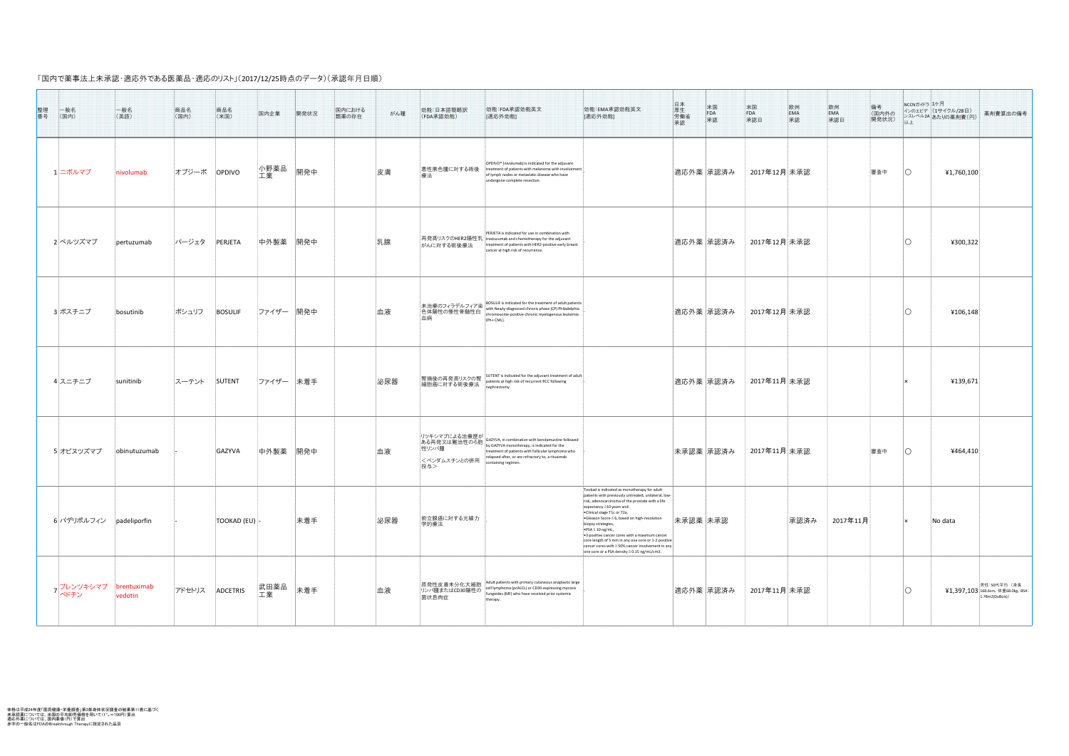「国内で薬事法上未承認・適応外である医薬品・適応のリスト」(2017/12/25時点のデータ)(承認年月日順)

| 整理<br>番号<br> 一般名<br>(国内) | 一般名<br>(英語)                      | 商品名<br>(国内)   | 商品名<br>(米国)       | 国内企業       | 開発状況 | 国内における<br>類薬の存在 | がん種 | 効能:日本語簡略訳<br>(FDA承認効能)                 | 効能:FDA承認効能英文<br>[適応外効能]                                                                                                                                                                                                                                                                                                    | 効能:EMA承認効能英文<br>[適応外効能]                                                                                                                                                                                                                                                                                                                                                                                                                                                                                                                                                                                     | 日厚労承認<br>米国<br>FDA<br>承認 | 米国<br>FDA<br>承認日 |      | 備考<br>(国内外の<br>開発状況)<br> 欧州<br> EMA<br> 承認日 | │ NCCNガイドラ コケ月 │<br>以上 | インのエビデ  (1サイクル/28日)<br>シスレベル2A あたりの薬剤費(円) | 薬剤費算出の備考                                                             |
|--------------------------|----------------------------------|---------------|-------------------|------------|------|-----------------|-----|----------------------------------------|----------------------------------------------------------------------------------------------------------------------------------------------------------------------------------------------------------------------------------------------------------------------------------------------------------------------------|-------------------------------------------------------------------------------------------------------------------------------------------------------------------------------------------------------------------------------------------------------------------------------------------------------------------------------------------------------------------------------------------------------------------------------------------------------------------------------------------------------------------------------------------------------------------------------------------------------------|--------------------------|------------------|------|---------------------------------------------|------------------------|-------------------------------------------|----------------------------------------------------------------------|
| 1 二ボルマブ                  | nivolumab                        | オプジーボ         | OPDIVO            | 小野薬品<br>工業 | 開発中  |                 | 皮膚  | 悪性黒色腫に対する術後 <br>療法                     | OPDIVO <sup>®</sup> (nivolumab) is indicated for the adjuvant<br>treatment of patients with melanoma with involvement<br>of lymph nodes or metastatic disease who have<br>undergone complete resection.                                                                                                                    |                                                                                                                                                                                                                                                                                                                                                                                                                                                                                                                                                                                                             | 適応外薬  承認済み               | 2017年12月 未承認     |      | 審査中                                         |                        | 41,760,100                                |                                                                      |
| 2 ペルツズマブ                 | pertuzumab                       | パージェタ         | PERJETA           | 中外製薬 開発中   |      |                 | 乳腺  | おんに対する術後療法                             | PERJETA is indicated for use in combination with<br> 再発高リスクのHER2陽性乳  trastuzumab and chemotherapy for the adjuvant<br>treatment of patients with HER2-positive early breast<br>cancer at high risk of recurrence.                                                                                                          |                                                                                                                                                                                                                                                                                                                                                                                                                                                                                                                                                                                                             | 適応外薬  承認済み               | 2017年12月 未承認     |      |                                             |                        | 4300,322                                  |                                                                      |
| 3 ボスチニブ                  | bosutinib                        | ポシュリフ BOSULIF |                   | ファイザー  開発中 |      |                 | 血液  | 血病                                     | 未治療のフィラデルフィア染 BOSULIF is indicated for the treatment of adult patients<br>色体陽性の慢性骨髄性白 with Newly-diagnosed chronic phase (CP) Philadelphia<br><br>chromosome-positive chronic myelogenous leukemia<br>$(Ph+ CML).$                                                                                                         |                                                                                                                                                                                                                                                                                                                                                                                                                                                                                                                                                                                                             | 適応外薬  承認済み               | │ 2017年12月│未承認   |      |                                             |                        | 4106, 148                                 |                                                                      |
| 4スニチニブ                   | sunitinib                        | スーテント         | $\vert$ SUTENT    | ファイザー 未着手  |      |                 | 泌尿器 |                                        |                                                                                                                                                                                                                                                                                                                            |                                                                                                                                                                                                                                                                                                                                                                                                                                                                                                                                                                                                             | 適応外薬  承認済み               | │ 2017年11月│未承認   |      |                                             |                        | 4139,671                                  |                                                                      |
| 5オビヌツズマブ                 | obinutuzumab                     |               | GAZYVA            | 中外製薬 開発中   |      |                 | 血液  | <ベンダムスチンとの併用<br> 投与>                   | リツキシマブによる治療歴が<br>ある再発又は難治性のろ胞 sazyva, in combination with bendamustine followed<br>性リンパ腫 sared by GAZYVA monotherapy, is indicated for the same of patients with follicular lymphoma who<br>treatment of patients with follicular lymphoma who<br>relapsed after, or are refractory to, a rituximab<br>containing regimen. |                                                                                                                                                                                                                                                                                                                                                                                                                                                                                                                                                                                                             | 未承認薬 承認済み                | 2017年11月未承認      |      | 審査中                                         |                        | 4464,410                                  |                                                                      |
| 6 パデリポルフィン padeliporfin  |                                  |               | $ TOOKAD (EU) $ - |            | 未着手  |                 | 泌尿器 | 前立腺癌に対する光線力<br>学的療法                    |                                                                                                                                                                                                                                                                                                                            | Tookad is indicated as monotherapy for adult<br>patients with previously untreated, unilateral, low-<br>risk, adenocarcinoma of the prostate with a life<br>expectancy $\geq$ 10 years and:<br>$\cdot$ Clinical stage T1c or T2a,<br><b>•</b> Gleason Score $\leq$ 6, based on high-resolution<br>biopsy strategies,<br>$\triangleright$ PSA $\leq$ 10 ng/mL,<br>$\cdot$ 3 positive cancer cores with a maximum cancer<br>$\vert$ core length of 5 mm in any one core or 1-2 positive $\vert$<br>cancer cores with $\geq$ 50% cancer involvement in any<br>one core or a PSA density $\geq$ 0.15 ng/mL/cm3. | 未承認薬 未承認                 |                  | 承認済み | 2017年11月                                    |                        | No data                                   |                                                                      |
| ハベドチン                    | Jブレンツキシマブ brentuximab<br>vedotin | アドセトリス        | ADCETRIS          | 武田薬品<br>工業 | 未着手  |                 | 血液  | 原発性皮膚未分化大細胞<br>リンパ腫またはCD30陽性の<br>菌状息肉症 | Adult patients with primary cutaneous anaplastic large<br>cell lymphoma (pcALCL) or CD30-expressing mycosis<br>fungoides (MF) who have received prior systemic<br>therapy.                                                                                                                                                 |                                                                                                                                                                                                                                                                                                                                                                                                                                                                                                                                                                                                             | 適応外薬  承認済み               | 2017年11月 未承認     |      |                                             |                        |                                           | 男性:50代平均(身長<br>¥1,397,103 168.6cm, 体重68.0kg, BSA:<br>1.78m2(DuBois)) |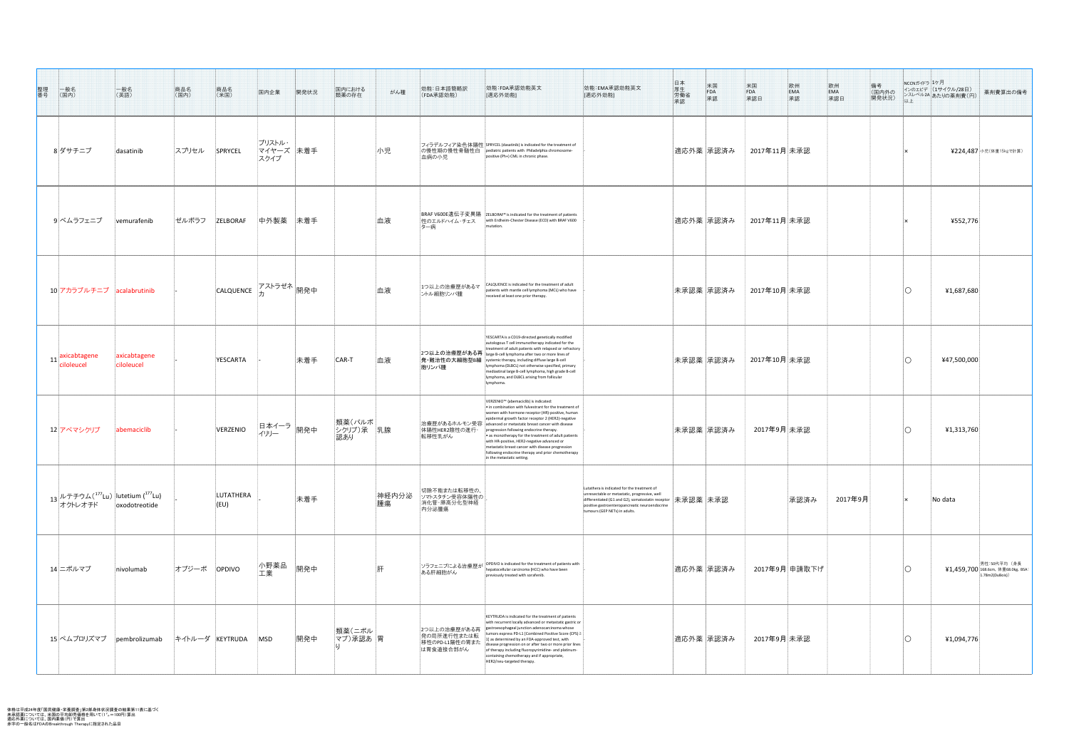| 整理<br>番号<br> 一般名<br>(国内)                                                       | 一般名<br>(英語)                | 商品名<br> (国内)    | 商品名<br>(米国)           | 国内企業                        | 開発状況                    | 国内における<br>類薬の存在                 | がん種         | 効能:日本語簡略訳<br>(FDA承認効能)                                     | 効能:FDA承認効能英文<br>[適応外効能]                                                                                                                                                                                                                                                                                                                                                                                                                                                                                                                                                                           | 日厚<br>牛生働<br>承認<br>承認<br>米国<br>FDA<br><br>$\overline{\text{H}}$<br>$\overline{\text{H}}$<br>$\overline{\text{H}}$<br>                                                                                                                                                     | 米国<br>FDA<br>承認日<br>欧州<br>EMA<br>承認<br>備考<br>(国内外の<br>開発状況) | NCCNガイドラ ユケ月<br> インのエビデ  (1サイクル/28日)<br>薬剤費算出の備考<br>  ンスレベル2A あたりの薬剤費(円)<br>以上 |
|--------------------------------------------------------------------------------|----------------------------|-----------------|-----------------------|-----------------------------|-------------------------|---------------------------------|-------------|------------------------------------------------------------|---------------------------------------------------------------------------------------------------------------------------------------------------------------------------------------------------------------------------------------------------------------------------------------------------------------------------------------------------------------------------------------------------------------------------------------------------------------------------------------------------------------------------------------------------------------------------------------------------|---------------------------------------------------------------------------------------------------------------------------------------------------------------------------------------------------------------------------------------------------------------------------|-------------------------------------------------------------|--------------------------------------------------------------------------------|
| 8 ダサチニブ                                                                        | dasatinib                  | スプリセル           | SPRYCEL               | ブリストル・<br>マイヤーズ 未着手<br>スクイブ |                         |                                 | 小児          | 血病の小児                                                      | │フィラデルフィア染色体陽性 SPRYCEL (dasatinib) is indicated for the treatment of<br> の慢性期の慢性骨髄性白  pediatric patients with Philadelphia chromosome-<br>positive (Ph+) CML in chronic phase.                                                                                                                                                                                                                                                                                                                                                                                                                    | 適応外薬  承認済み                                                                                                                                                                                                                                                                | 2017年11月 未承認                                                | ¥224,487 小児(体重15kgで計算)                                                         |
| 9 ベムラフェニブ                                                                      | vemurafenib                | ゼルボラフ           | ZELBORAF              | 中外製薬 未着手                    |                         |                                 | 血液          | 性のエルドハイム・チェス<br>ター病                                        | BRAF V600E遺伝子変異陽   ZELBORAF® is indicated for the treatment of patients<br>with Erdheim-Chester Disease (ECD) with BRAF V600                                                                                                                                                                                                                                                                                                                                                                                                                                                                      | 適応外薬  承認済み                                                                                                                                                                                                                                                                | 2017年11月 未承認                                                | 4552,776                                                                       |
| 10 アカラブルチニブ acalabrutinib                                                      |                            |                 | CALQUENCE フストラゼネ 開発中  |                             |                         |                                 | 血液          | 1つ以上の治療歴があるマ<br>ントル細胞リンパ腫                                  | CALQUENCE is indicated for the treatment of adult<br>patients with mantle cell lymphoma (MCL) who have<br>received at least one prior therapy.                                                                                                                                                                                                                                                                                                                                                                                                                                                    | 未承認薬  承認済み                                                                                                                                                                                                                                                                | 2017年10月 未承認                                                | 41,687,680                                                                     |
| $11 \begin{array}{ c c } \hline \text{axicabtagene} \end{array}$<br>ciloleucel | axicabtagene<br>ciloleucel |                 | YESCARTA              |                             | 未着手                     | CAR-T                           | 血液          | 胞リンパ腫                                                      | YESCARTA is a CD19-directed genetically modified<br>autologous T cell immunotherapy indicated for the<br>treatment of adult patients with relapsed or refractory<br>2つ以上の治療歴がある再  large B-cell lymphoma after two or more lines of<br> 発・難治性の大細胞型B細   systemic therapy, including diffuse large B-cell<br>lymphoma (DLBCL) not otherwise specified, primary<br>mediastinal large B-cell lymphoma, high grade B-cell<br>lymphoma, and DLBCL arising from follicular<br>lymphoma.                                                                                                                   | 未承認薬  承認済み                                                                                                                                                                                                                                                                | 2017年10月 未承認                                                | 447,500,000                                                                    |
| 12 アベマシクリブ                                                                     | abemaciclib                |                 | VERZENIO              | イリリー                        | .<br>- 日本イーラ 開発中<br>- 『 | 類薬(パルボ <br> シクリブ)承   乳腺<br> 認あり |             | 体陽性HER2陰性の進行·<br>転移性乳がん                                    | VERZENIO <sup>™</sup> (abemaciclib) is indicated:<br>$\cdot$ in combination with fulvestrant for the treatment of<br>women with hormone receptor (HR)-positive, human<br>epidermal growth factor receptor 2 (HER2)-negative<br>治療歴があるホルモン受容 advanced or metastatic breast cancer with disease<br>progression following endocrine therapy.<br>$\bullet$ as monotherapy for the treatment of adult patients<br>with HR-positive, HER2-negative advanced or<br>metastatic breast cancer with disease progression<br>following endocrine therapy and prior chemotherapy<br>in the metastatic setting. | 未承認薬  承認済み                                                                                                                                                                                                                                                                | 2017年9月未承認                                                  | 41,313,760                                                                     |
| $_{13}$ ルテチウム $(^{177}$ Lu $)$ $\big $ lutetium ( $^{177}$ Lu)<br>ーオクトレオチド     | oxodotreotide              |                 | LUTATHERA<br>$ $ (EU) |                             | 未着手                     |                                 | 神経内分泌<br>腫瘍 | 切除不能または転移性の、<br>ソマトスタチン受容体陽性の<br> 消化管・膵高分化型神経 <br>內分泌腫瘍    |                                                                                                                                                                                                                                                                                                                                                                                                                                                                                                                                                                                                   | Lutathera is indicated for the treatment of<br>unresectable or metastatic, progressive, well<br>differentiated (G1 and G2), somatostatin receptor $ \text{wide} \$ 承認薬 $ \text{max}$ 認<br>positive gastroenteropancreatic neuroendocrine<br>tumours (GEP NETs) in adults. | 承認済み<br>2017年9月                                             | $\vert$ No data                                                                |
| 14 ニボルマブ                                                                       | nivolumab                  | オプジーボ OPDIVO    |                       | 小野薬品<br>工業                  | 開発中                     |                                 | ' 肝         | ある肝細胞がん                                                    | <mark>ソラフェニブによる治療歴が OPDIVO is indicated for the treatment of patients with</mark><br>hepatocellular carcinoma (HCC) who have been<br>previously treated with sorafenib.                                                                                                                                                                                                                                                                                                                                                                                                                           | 適応外薬  承認済み                                                                                                                                                                                                                                                                | 2017年9月 申請取下げ                                               | – 男性:50代平均(身長)<br>¥1,459,700 168.6cm, 体重68.0kg, BSA:<br>1.78m2(DuBois))        |
| 15 ペムブロリズマブ    pembrolizumab                                                   |                            | キイトルーダ KEYTRUDA |                       | <b>MSD</b>                  | 開発中                     | 類薬(ニボル)<br> マブ)承認あ  胃           |             | 2つ以上の治療歴がある再<br>発の局所進行性または転<br>移性のPD-L1陽性の胃また<br>は胃食道接合部がん | KEYTRUDA is indicated for the treatment of patients<br>with recurrent locally advanced or metastatic gastric or<br>gastroesophageal junction adenocarcinoma whose<br>tumors express PD-L1 [Combined Positive Score (CPS) ≥<br>1] as determined by an FDA-approved test, with<br>disease progression on or after two or more prior lines<br>of therapy including fluoropyrimidine- and platinum-<br>containing chemotherapy and if appropriate,<br>HER2/neu-targeted therapy.                                                                                                                      | 適応外薬  承認済み                                                                                                                                                                                                                                                                | 2017年9月 未承認                                                 | 41,094,776                                                                     |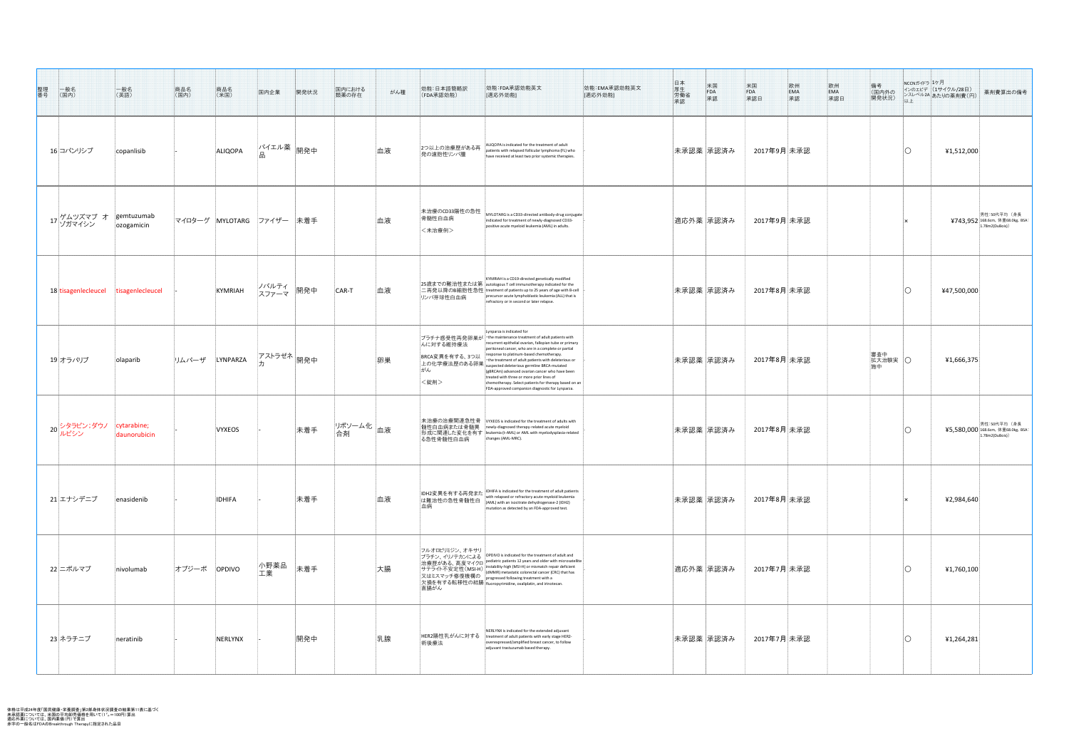| 整理番号 | ——<br>(国内)                                          | 一般名<br>(英語)                          | 商品名<br>(国内)                  | 商品名<br>(米国)   | 国内企業                                                 | 開発状況 | 国内における<br>類薬の存在              | がん種 | 効能:日本語簡略訳<br>(FDA承認効能)                    | 効能:FDA承認効能英文<br>[適応外効能]                                                                                                                                                                                                                                                                                                                                                                                                                                                                                                              | 日厚労<br>天生<br> <br> <br> <br> <br> <br> <br> <br><br> <br><br> <br>米国<br>FDA<br>承認<br> 効能:EMA承認効能英文<br>[適応外効能] | 米国<br>FDA<br>承認日<br>___欧州<br>__EMA<br>__承認 | 備考<br>(国内外の<br>開発状況)<br>以上 | NCCNガイドラ 1ケ月<br>インのエビデ (1サイクル/28日)<br>ンスレベル2A あたりの薬剤費(円)<br>薬剤費算出の備考       |
|------|-----------------------------------------------------|--------------------------------------|------------------------------|---------------|------------------------------------------------------|------|------------------------------|-----|-------------------------------------------|--------------------------------------------------------------------------------------------------------------------------------------------------------------------------------------------------------------------------------------------------------------------------------------------------------------------------------------------------------------------------------------------------------------------------------------------------------------------------------------------------------------------------------------|---------------------------------------------------------------------------------------------------------------|--------------------------------------------|----------------------------|----------------------------------------------------------------------------|
|      | 16 コパンリシブ                                           | copanlisib                           |                              | ALIQOPA       | $\mathcal{N}$ イエル薬 $\Big  \mathbb{B} \big $ 界発中<br>品 |      |                              | 血液  | 2つ以上の治療歴がある再<br>発の濾胞性リンパ腫                 | ALIQOPA is indicated for the treatment of adult<br>patients with relapsed follicular lymphoma (FL) who<br>have received at least two prior systemic therapies.                                                                                                                                                                                                                                                                                                                                                                       | 未承認薬  承認済み                                                                                                    | 2017年9月 未承認                                |                            | 41,512,000                                                                 |
|      | 17 ゲムツズマブ オ  gemtuzumab<br>17 ゾガマイシン     ozogamicin | ozogamicin                           | マイロターグ  MYLOTARG  ファイザー  未着手 |               |                                                      |      |                              | 血液  | 未治療のCD33陽性の急性<br>骨髄性白血病<br><未治療例>         | MYLOTARG is a CD33-directed antibody-drug conjugate<br>indicated for treatment of newly-diagnosed CD33-<br>positive acute myeloid leukemia (AML) in adults.                                                                                                                                                                                                                                                                                                                                                                          | 適応外薬  承認済み                                                                                                    | 2017年9月 未承認                                |                            | 男性:50代平均(身長)<br><b>¥743,952</b> 168.6cm, 体重68.0kg, BSA:<br>1.78m2(DuBois)) |
|      |                                                     | 18 tisagenlecleucel tisagenlecleucel |                              | KYMRIAH       | .  ノバルティ  <br> 開発中<br>スファーマ                          |      | CAR-T                        | 血液  | リンパ芽球性白血病                                 | KYMRIAH is a CD19-directed genetically modified<br> 25歳までの難治性または第  autologous T cell immunotherapy indicated for the<br> 二再発以降のB細胞性急性 treatment of patients up to 25 years of age with B-cell<br>precursor acute lymphoblastic leukemia (ALL) that is<br>refractory or in second or later relapse.                                                                                                                                                                                                                                   | 未承認薬  承認済み                                                                                                    | 2017年8月 未承認                                |                            | 447,500,000                                                                |
|      | 19オラパリブ                                             | olaparib                             | リムパーザ LYNPARZA               |               | . フストラゼネ <mark> 開発中なる</mark>                         |      |                              | 卵巣  | んに対する維持療法<br>BRCA変異を有する、3つ以<br>がん<br><錠剤> | Lynparza is indicated for<br>プラチナ感受性再発卵巣が the maintenance treatment of adult patients with<br>recurrent epithelial ovarian, fallopian tube or primary<br>peritoneal cancer, who are in a complete or partial<br>response to platinum-based chemotherapy.<br>$\vert$ - the treatment of adult patients with deleterious or<br>(gBRCAm) advanced ovarian cancer who have been<br>treated with three or more prior lines of<br>chemotherapy. Select patients for therapy based on an<br>FDA-approved companion diagnostic for Lynparza. | 未承認薬  承認済み                                                                                                    | 2017年8月│未承認                                | 審査中<br>拡大治験実   〇           | 41,666,375                                                                 |
|      | 20 シタラビン;ダウノ cytarabine;<br>20 ルビシン daunorubici     | daunorubicin                         |                              | <b>VYXEOS</b> |                                                      | 未着手  | リポソーム化 <mark>血液</mark><br>合剤 |     | る急性骨髄性白血病                                 | 未治療の治療関連急性骨   vʏxEOS is indicated for the treatment of adults with<br>│髄性白血病または骨髄異 │newly-diagnosed therapy-related acute myeloid<br> 形成に関連した変化を有す  leukemia (t-AML) or AML with myelodysplasia-related<br>changes (AML-MRC).                                                                                                                                                                                                                                                                                                        | 未承認薬  承認済み                                                                                                    | 2017年8月 未承認                                |                            | 男性:50代平均(身長<br>¥5,580,000 168.6cm, 体重68.0kg, BSA:<br>1.78m2(DuBois)        |
|      | 21 エナシデニブ                                           | enasidenib                           |                              | <b>IDHIFA</b> |                                                      | 未着手  |                              | 血液  | は難治性の急性骨髄性白<br>血病                         | IDH2変異を有する再発また IDHIFA is indicated for the treatment of adult patients<br>(AML) with an isocitrate dehydrogenase-2 (IDH2)<br>mutation as detected by an FDA-approved test.                                                                                                                                                                                                                                                                                                                                                           | 未承認薬  承認済み                                                                                                    | 2017年8月│未承認                                |                            | 42,984,640                                                                 |
|      | 22 ニボルマブ                                            | nivolumab                            | オプジーボ OPDIVO                 |               | 小野薬品<br>工業                                           | 未着手  |                              | 大腸  | 直腸がん                                      | フルオロピリミジン、オキサリ<br>プラチン、イリノテカンによる OPDIVO is indicated for the treatment of adult and<br>治療歴がある、高度マイクロ pediatric patients 12 years and older with microsatellite<br>サテライト不安定性(MSI-H) instability-high (MSI-H) or mismatch repair defici                                                                                                                                                                                                                                                                                                | 適応外薬  承認済み                                                                                                    | 2017年7月 未承認                                |                            | 41,760,100                                                                 |
|      | 23 ネラチニブ                                            | neratinib                            |                              | NERLYNX       |                                                      | 開発中  |                              | 乳腺  | 術後療法                                      | NERLYNX is indicated for the extended adjuvant<br>│HER2陽性乳がんに対する │treatment of adult patients with early stage HER2-<br>overexpressed/amplified breast cancer, to follow<br>adjuvant trastuzumab based therapy.                                                                                                                                                                                                                                                                                                                      | 未承認薬  承認済み                                                                                                    | 2017年7月 未承認                                |                            | 41,264,281                                                                 |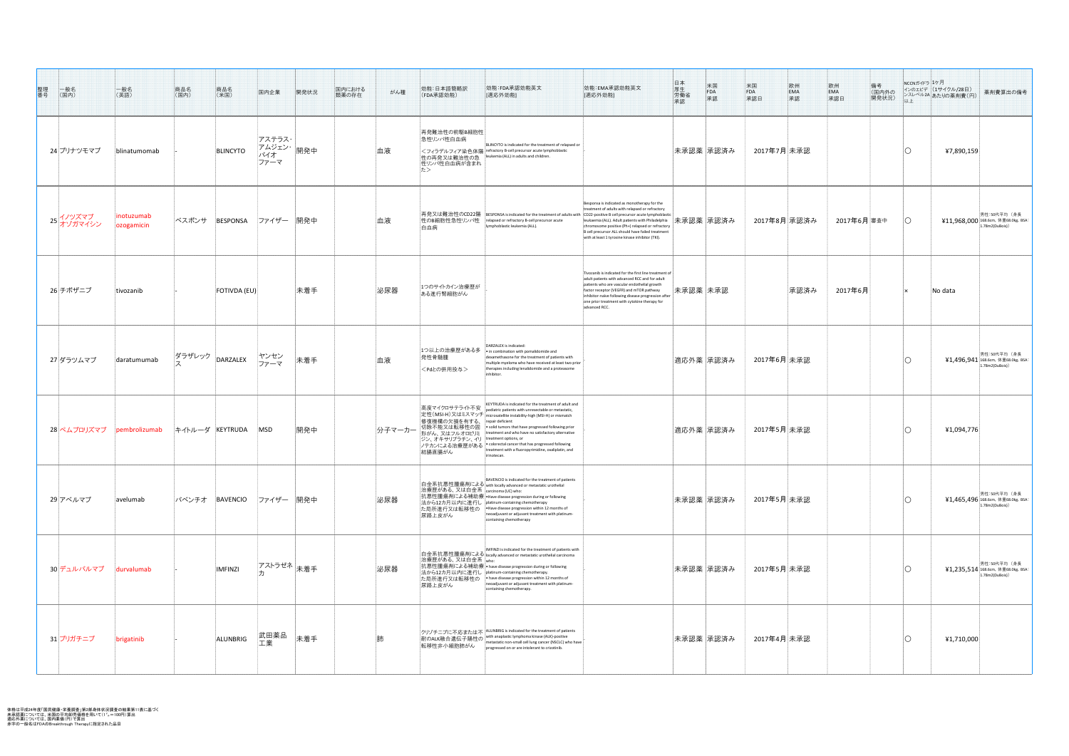| 整理<br>番号<br>一般名<br>(国内) | 一般名<br>(英語)              | 商品名<br>(国内) | 商品名<br>(米国)                     | 国内企業                  | 開発状況                  | 国内における<br>類薬の存在 | がん種 | 効能:日本語簡略訳<br>(FDA承認効能)                                                           | 効能:FDA承認効能英文<br>[適応外効能]                                                                                                                                                                                                                                                                                                                                                                                                                                                                                                                                                            | 効能:EMA承認効能英文<br>[適応外効能]                                                                                                                                                                                                                                                                                                       | 日厚労承認<br>$\begin{array}{c} \n\# \mathbb{E} \\ \text{FDA}\n\end{array}$<br>承認 | 米国<br>FDA<br>承認日<br>欧州<br>EMA<br>承認 | 備考<br>(国内外の<br> 開発状況) | NCCNガイドラ ユケ月 | インのエビデ  (1サイクル/28日) <br>薬剤費算出の備考<br> ンスレベル2A あたりの薬剤費(円)                      |
|-------------------------|--------------------------|-------------|---------------------------------|-----------------------|-----------------------|-----------------|-----|----------------------------------------------------------------------------------|------------------------------------------------------------------------------------------------------------------------------------------------------------------------------------------------------------------------------------------------------------------------------------------------------------------------------------------------------------------------------------------------------------------------------------------------------------------------------------------------------------------------------------------------------------------------------------|-------------------------------------------------------------------------------------------------------------------------------------------------------------------------------------------------------------------------------------------------------------------------------------------------------------------------------|------------------------------------------------------------------------------|-------------------------------------|-----------------------|--------------|------------------------------------------------------------------------------|
| 24 ブリナツモマブ              | blinatumomab             |             | BLINCYTO                        | アステラス・<br>バイオ<br>ファーマ | - アムジェン・ 開発中          |                 | 血液  | 再発難治性の前駆B細胞性 <br>急性リンパ性白血病<br>性リンパ性白血病が含まれ                                       | BLINCYTO is indicated for the treatment of relapsed or<br> <フィラデルフィア染色体陽 refractory B-cell precursor acute lymphoblastic<br>性の再発又は難治性の急  leukemia (ALL) in adults and children.                                                                                                                                                                                                                                                                                                                                                                                                    |                                                                                                                                                                                                                                                                                                                               | 未承認薬  承認済み                                                                   | 2017年7月未承認                          |                       |              | 47,890,159                                                                   |
| 25 イノツズマブ<br>オゾガマイシン    | inotuzumab<br>ozogamicin | ベスポンサ       | BESPONSA                        | ファイザー  開発中            |                       |                 | 血液  | 白血病                                                                              | 再発又は難治性のCD22陽  BESPONSA is indicated for the treatment of adults with  CD22-positive B cell precursor acute lymphoblastic<br>│性のB細胞性急性リンパ性 │relapsed or refractory B-cell precursor acute<br>lymphoblastic leukemia (ALL).                                                                                                                                                                                                                                                                                                                                                         | Besponsa is indicated as monotherapy for the<br>treatment of adults with relapsed or refractory<br>leukaemia (ALL). Adult patients with Philadelphia<br>chromosome positive (Ph+) relapsed or refractory<br>B cell precursor ALL should have failed treatment<br>with at least 1 tyrosine kinase inhibitor (TKI).             | 未承認薬  承認済み                                                                   | 2017年8月  承認済み                       | 2017年6月 審査中           |              | 男性:50代平均(身長<br>¥11,968,000 168.6cm, 体重68.0kg, BSA: $\vert$<br>1.78m2(DuBois) |
| 26 チボザニブ                | tivozanib                |             | <b>FOTIVDA (EU)</b>             |                       | 未着手                   |                 | 泌尿器 | 1つのサイトカイン治療歴が<br>ある進行腎細胞がん                                                       |                                                                                                                                                                                                                                                                                                                                                                                                                                                                                                                                                                                    | Tivozanib is indicated for the first line treatment of<br>adult patients with advanced RCC and for adult<br>patients who are vascular endothelial growth<br>factor receptor (VEGFR) and mTOR pathway<br>inhibitor-naïve following disease progression after<br>one prior treatment with cytokine therapy for<br>advanced RCC. | 未承認薬 未承認                                                                     | 承認済み                                | 2017年6月               |              | $\blacksquare$ No data                                                       |
| 27 ダラツムマブ               | daratumumab              |             | ダラザレック $\vert$ DARZALEX $\vert$ | ヤンセン<br>ファーマ          | 未着手                   |                 | 血液  | 1つ以上の治療歴がある多<br> 発性骨髄腫 <br><pdとの併用投与></pdとの併用投与>                                 | DARZALEX is indicated:<br>$\cdot$ in combination with pomalidomide and<br>dexamethasone for the treatment of patients with<br>multiple myeloma who have received at least two prior<br>therapies including lenalidomide and a proteasome                                                                                                                                                                                                                                                                                                                                           |                                                                                                                                                                                                                                                                                                                               | 適応外薬  承認済み                                                                   | 2017年6月 未承認                         |                       |              | 男性:50代平均(身長<br><b>¥1,496,941</b> 168.6cm, 体重68.0kg, BSA:<br>1.78m2(DuBois))  |
| 28 ペムブロリズマブ             | pembrolizumab            |             | キイトルーダ  KEYTRUDA                | <b>MSD</b>            | 開発中                   |                 |     | │修復機構の欠損を有する、│repair deficient<br>ジン、オキサリプラチン、イリ treatment options, or<br>結腸直腸がん | KEYTRUDA is indicated for the treatment of adult and<br>$\left \bar{\mathsf{a}}\bar{\mathsf{B}}\bar{\mathsf{B}}$ マイクロサテライト不安 $\left \frac{\mathsf{a}}{\mathsf{p}}\right $ ediatric patients with unresectable or metastatic,<br> 定性(MSI-H)又はミスマッチ  microsatellite instability-high (MSI-H) or mismatch<br>分子マーカー 切除不能又は転移性の固   solid tumors that have progressed following prior<br> 形がん、又はフルオロピリミ  treatment and who have no satisfactory alternative<br>ノテカンによる治療歴がある   • colorectal cancer that has progressed following<br>treatment with a fluoropyrimidine, oxaliplatin, and |                                                                                                                                                                                                                                                                                                                               | 適応外薬  承認済み                                                                   | 2017年5月未承認                          |                       |              | 41,094,776                                                                   |
| 29 アベルマブ                | avelumab                 |             | バベンチオ  BAVENCIO                 | ファイザー  開発中            |                       |                 | 泌尿器 | 治療歴がある、又は白金系   carcinoma (UC) who:<br> 尿路上皮がん                                    | BAVENCIO is indicated for the treatment of patients<br>白金系抗悪性腫瘍剤による with locally advanced or metastatic urothelial<br>│抗悪性腫瘍剤による補助療│•Have disease progression during or following<br> 法から12カ月以内に進行し  platinum-containing chemotherapy<br> た局所進行又は転移性の │ Have disease progression within 12 months of<br>neoadjuvant or adjuvant treatment with platinum-<br>containing chemotherapy                                                                                                                                                                                                |                                                                                                                                                                                                                                                                                                                               | 未承認薬  承認済み                                                                   | 2017年5月 未承認                         |                       |              | 男性:50代平均(身長<br>¥1,465,496 168.6cm, 体重68.0kg, BSA:<br>1.78m2(DuBois))         |
| 30 デュルバルマブ              | durvalumab               |             | <b>IMFINZI</b>                  |                       | アストラゼネ <sub>未着手</sub> |                 | 泌尿器 | 治療歴がある、又は白金系 who:<br>尿路上皮がん                                                      | 白金系抗悪性腫瘍剤による   MFINZI is indicated for the treatment of patients with<br>│抗悪性腫瘍剤による補助療│• have disease progression during or following<br> 法から12カ月以内に進行し  platinum-containing chemotherapy.<br> た局所進行又は転移性の │ • have disease progression within 12 months of<br>neoadjuvant or adjuvant treatment with platinum-<br>containing chemotherapy.                                                                                                                                                                                                                                        |                                                                                                                                                                                                                                                                                                                               | 未承認薬  承認済み                                                                   | 2017年5月 未承認                         |                       |              | 男性:50代平均(身長<br>¥1,235,514 168.6cm, 体重68.0kg, BSA:<br>1.78m2(DuBois)          |
| 31 ブリガチニブ               | brigatinib               |             | ALUNBRIG                        | 武田薬品                  | 未着手                   |                 |     |                                                                                  | クリゾチニブに不応または不 ALUNBRIG is indicated for the treatment of patients<br>クリフテニノに不応まだは不<br>耐のALK融合遺伝子陽性の metastatic non-small cell lung cancer (NSCLC) who have<br>転移性非小細胞肺がん progressed on or are intolerant to crizotinib.                                                                                                                                                                                                                                                                                                                                                            |                                                                                                                                                                                                                                                                                                                               | 未承認薬  承認済み                                                                   | 2017年4月 未承認                         |                       |              | 41,710,000                                                                   |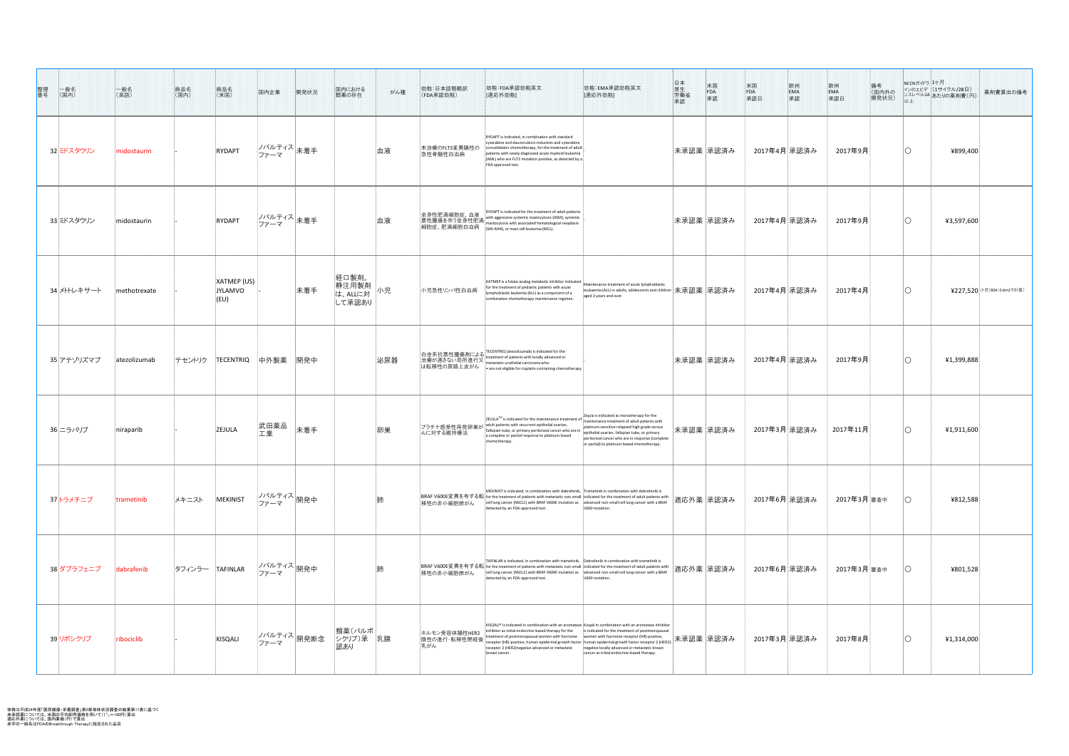体格は平成24年度「国民健康・栄養調査」第2部身体状況調査の結果第11表に基づく 未承認薬については、米国の平均卸売価格を用いて(1˚"=100円)算出 適応外薬については、国内薬価(円)で算出 赤字の一般名はFDAのBreakthrough Therapyに指定された品目

| 整理番号<br>______<br>(国内) | 一般名<br>(英語)  | 商品名<br>(国内)     | 商品名<br>(米国)                            | 国内企業                     | 開発状況 | 国内における<br>類薬の存在                                | がん種 | 効能:日本語簡略訳<br>(FDA承認効能)               | 効能:FDA承認効能英文<br>[適応外効能]                                                                                                                                                                                                                                                                                                                                                                                                                                                                              | 効能:EMA承認効能英文<br>[適応外効能]                                                                                                                                                                                                                           | 日厚労承認本生働認  | 米国<br>FDA<br>承認 | 米国<br>FDA<br>承認日 | 欧州<br>EMA<br>承認 | 欧州<br>EMA<br>承認日 | NCCNガイドラ コケ月<br>備考<br>(国内外の<br>開発状況)<br>以上 | $\frac{1}{2}$ インのエビデ (1サイクル/28日)<br>薬剤費算出の備考<br>  ンスレベル2A あたりの薬剤費(円) |
|------------------------|--------------|-----------------|----------------------------------------|--------------------------|------|------------------------------------------------|-----|--------------------------------------|------------------------------------------------------------------------------------------------------------------------------------------------------------------------------------------------------------------------------------------------------------------------------------------------------------------------------------------------------------------------------------------------------------------------------------------------------------------------------------------------------|---------------------------------------------------------------------------------------------------------------------------------------------------------------------------------------------------------------------------------------------------|------------|-----------------|------------------|-----------------|------------------|--------------------------------------------|----------------------------------------------------------------------|
| 32 ミドスタウリン             | midostaurin  |                 | <b>RYDAPT</b>                          | ノバルティス <br>未着手<br>ファーマ   |      |                                                | 血液  | 未治療のFLT3変異陽性の<br>急性骨髄性白血病            | RYDAPT is indicated, in combination with standard<br>cytarabine and daunorubicin induction and cytarabine<br>consolidation chemotherapy, for the treatment of adult<br>patients with newly diagnosed acute myeloid leukemia<br>(AML) who are FLT3 mutation-positive, as detected by a<br>FDA approved test.                                                                                                                                                                                          |                                                                                                                                                                                                                                                   | 未承認薬 承認済み  |                 | 2017年4月 承認済み     |                 | 2017年9月          |                                            | ¥899,400                                                             |
| 33 ミドスタウリン             | midostaurin  |                 | <b>RYDAPT</b>                          | ノバルティス <br> 未着手<br>ファーマ  |      |                                                | 血液  | 全身性肥満細胞症、血液                          | RYDAPT is indicated for the treatment of adult patients<br>with aggressive systemic mastocytosis (ASM), systemi<br> 玉分に沿沿にニー、  <br> 悪性腫瘍を伴う全身性肥満   mastocytosis with associated hematologica<br> 細胞症、肥満細胞白血病   (SM-AHN), or mast cell leukemia (MCL).<br>mastocytosis with associated hematological neoplasm                                                                                                                                                                                         |                                                                                                                                                                                                                                                   | 未承認薬 承認済み  |                 | 2017年4月 承認済み     |                 | 2017年9月          |                                            | 43,597,600                                                           |
| 34 メトトレキサート            | methotrexate |                 | $\vert$ XATMEP (US)<br>JYLAMVO<br>(EU) |                          | 未着手  | │経口製剤。<br>  静注用製剤  <br> は、ALLに対   小児<br>して承認あり |     | 小児急性リンパ性白血病                          | XATMEP is a folate analog metabolic inhibitor indicated<br>for the treatment of pediatric patients with acute<br>lymphoblastic leukemia (ALL) as a component of a<br>combination chemotherapy maintenance regimen                                                                                                                                                                                                                                                                                    | Maintenance treatment of acute lymphoblastic<br> leukaemia (ALL) in adults, adolescents and children  未承認薬  承認済み<br>aged 3 years and over.                                                                                                        |            |                 | 2017年4月 承認済み     |                 | 2017年4月          |                                            | ¥227,520 小児(BSA:0.6m2で計算)                                            |
| 35 アテゾリズマブ             | atezolizumab | テセントリク          | TECENTRIQ                              | │中外製薬 │開発中               |      |                                                | 泌尿器 |                                      | 白金系抗悪性腫瘍剤による TECENTRIQ (atezolizumab) is indicated for the<br>治療が適さない局所進行又 reatment of patients with locally advanced or<br>は転移性の尿路上皮がん • are not eligible for cisplatin-containing chemotherapy                                                                                                                                                                                                                                                                                                     |                                                                                                                                                                                                                                                   |            | 未承認薬  承認済み      | 2017年4月 承認済み     |                 | _2017年9月         |                                            | 41,399,888                                                           |
| 36 ニラパリブ               | niraparib    |                 | <b>ZEJULA</b>                          | 武田薬品<br>工業               | 未着手  |                                                | 卵巣  | フラチナ感受性再発卵巣が<br>んに対する維持療法            | ZEJULA <sup>TM</sup> is indicated for the maintenance treatment of $\left $ Zejula is indicated as monotherapy for the<br>adult patients with recurrent epithelial ovarian,<br>fallopian tube, or primary peritoneal cancer who are in<br>a complete or partial response to platinum-based<br>chemotherapy.                                                                                                                                                                                          | maintenance treatment of adult patients with<br>platinum-sensitive relapsed high grade serous<br>epithelial ovarian, fallopian tube, or primary<br>peritoneal cancer who are in response (complete<br>or partial) to platinum-based chemotherapy. | 未承認薬 承認済み  |                 | 2017年3月 承認済み     |                 | 2017年11月         |                                            | 41,911,600                                                           |
| 37トラメチニブ               | trametinib   | メキニスト           | MEKINIST                               | ノバルティス <br> 開発中<br>ファーマ  |      |                                                | 师   | 移性の非小細胞肺がん                           | MEKINIST is indicated, in combination with dabrafenib, $ $ Trametinib in combination with dabrafenib is<br>│BRAF V600E変異を有する転 for the treatment of patients with metastatic non-small  indicated for the treatment of adult patients with<br>$\vert$ cell lung cancer (NSCLC) with BRAF V600E mutation as $\vert$ advanced non-small cell lung cancer with a BRAF<br>detected by an FDA-approved test.                                                                                               | V600 mutation.                                                                                                                                                                                                                                    | 適応外薬  承認済み |                 | 2017年6月 承認済み     |                 | 2017年3月 審査中      |                                            | 4812,588                                                             |
| 38 ダブラフェニブ             | dabrafenib   | タフィンラー TAFINLAR |                                        | ノバルティス 開発中<br>ファーマ       |      |                                                |     | 移性の非小細胞肺がん                           | TAFINLAR is indicated, in combination with trametinib, $\vert$ Dabrafenib in combination with trametinib is<br>│BRAF V600E変異を有する転 for the treatment of patients with metastatic non-small  indicated for the treatment of adult patients with<br>$\vert$ cell lung cancer (NSCLC) with BRAF V600E mutation as $\vert$ advanced non-small cell lung cancer with a BRAF<br>detected by an FDA-approved test.                                                                                           | V600 mutation.                                                                                                                                                                                                                                    | 適応外薬  承認済み |                 | 2017年6月 承認済み     |                 | 2017年3月 審査中      |                                            | 4801,528                                                             |
| 39リボシクリブ               | ribociclib   |                 | KISQALI                                | ノバルティス <br> 開発断念<br>ファーマ |      | 類薬(パルボ <br> シクリブ)承   乳腺<br>認あり                 |     | ホルモン受容体陽性HER2<br>陰性の進行・転移性閉経後<br>乳がん | KISQALI® is indicated in combination with an aromatase Kisgali in combination with an aromatase inhibitor<br>inhibitor as initial endocrine-based therapy for the<br>$\mathbb{R}$ receptor (HR)-positive, human epidermal growth factor $\ket{\text{human}}$ epidermal growth factor receptor (HR)-positive,<br>receptor 2 (HER2) horsetive educated by the contract of $\ket{\text{human}}$ epidermal growth factor receptor<br>receptor 2 (HER2) negative advanced or metastatic<br>breast cancer. | is indicated for the treatment of postmenopausal<br>negative locally advanced or metastatic breast<br>cancer as initial endocrine-based therapy.                                                                                                  |            |                 | 2017年3月 承認済み     |                 | 2017年8月          |                                            | 41,314,000                                                           |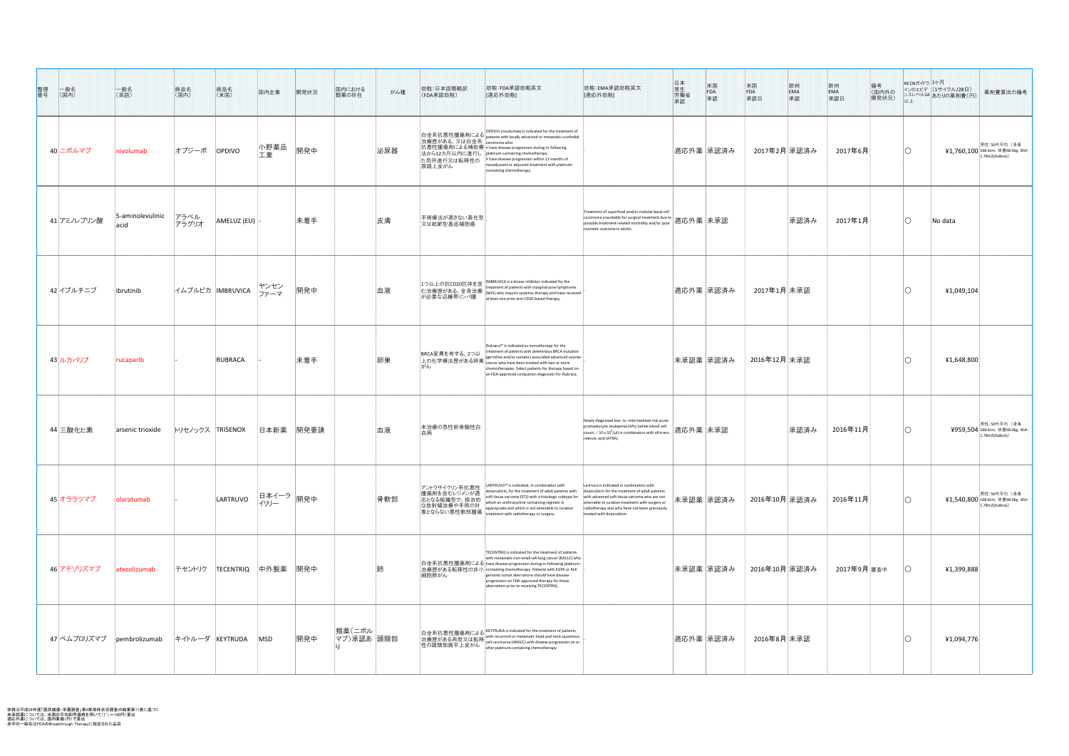| 整理<br>番号<br> 一般名<br> (国内)    | 一般名<br>(英語)              | 商品名<br>(国内)<br>商品名<br>(米国) |                       | 国内企業       | 開発状況                            | 国内における<br>がん種<br>類薬の存在 | 効能:日本語簡略訳<br>(FDA承認効能)                         | 効能:FDA承認効能英文<br>[適応外効能]                                                                                                                                                                                                                                                                                                                                                                                                          | 効能:EMA承認効能英文<br>[適応外効能]                                                                                                                                                                                                                                                       | 日厚労承<br>参加<br>承生働認<br>$\begin{array}{c} \mathcal{H} \mathbb{E} \\ \mathsf{FDA} \end{array}$<br>承認 | 米国<br>FDA<br>承認日<br>欧州<br>EMA<br>承認 | 備考<br>(国内外の<br>開発状況) |                | NCCNガイドラ <mark>1ケ月</mark><br>インのエビデ (1サイクル/28日)<br>薬剤費算出の備考<br>  レスレベル2A あたりの薬剤費(円)                                        |
|------------------------------|--------------------------|----------------------------|-----------------------|------------|---------------------------------|------------------------|------------------------------------------------|----------------------------------------------------------------------------------------------------------------------------------------------------------------------------------------------------------------------------------------------------------------------------------------------------------------------------------------------------------------------------------------------------------------------------------|-------------------------------------------------------------------------------------------------------------------------------------------------------------------------------------------------------------------------------------------------------------------------------|---------------------------------------------------------------------------------------------------|-------------------------------------|----------------------|----------------|----------------------------------------------------------------------------------------------------------------------------|
| 40 二ボルマブ                     | nivolumab                | オプジーボ<br><b>OPDIVO</b>     |                       | 小野薬品<br>工業 | 開発中                             | 泌尿器                    | 治療歴がある、又は白金系   carcinoma who:<br>尿路上皮がん        | OPDIVO (nivolumab) is indicated for the treatment of<br> 白金系抗悪性腫瘍剤による patients with locally advanced or metastatic urothelial<br> 抗悪性腫瘍剤による補助療  • have disease progression during or following<br>法から12カ月以内に進行し platinum-containing chemotherapy<br> た局所進行又は転移性の │ have disease progression within 12 months of<br>neoadjuvant or adjuvant treatment with platinum-<br>containing chemotherapy.                                  |                                                                                                                                                                                                                                                                               | 適応外薬  承認済み                                                                                        | 2017年2月 承認済み                        | 2017年6月              |                | 男性:50代平均(身長<br>$41,760,100$ 168.6cm, 体重68.0kg, BSA:<br>(1.78m2(DuBois))                                                    |
| 41 アミノレブリン酸                  | 5-aminolevulinic<br>acid | アラベル<br>アラグリオ              | $ $ AMELUZ (EU) $ $ - |            | 未着手                             | 皮膚                     | 手術療法が適さない表在型 <br>又は結節型基底細胞癌                    |                                                                                                                                                                                                                                                                                                                                                                                                                                  | Treatment of superficial and/or nodular basal cell<br>carcinoma unsuitable for surgical treatment due to $ \tilde{\mathfrak{B}}$ 応外薬 未承認<br>cosmetic outcome in adults.                                                                                                       |                                                                                                   | 承認済み                                | 2017年1月              | $\overline{O}$ | $\vert$ No data                                                                                                            |
| 42 イブルチニブ                    | librutinib               | イムブルビカ IMBRUVICA ファーマ      |                       |            | 開発中                             | 血液                     |                                                | 1つ以上の抗CD20抗体を含 MBRUVICA is a kinase inhibitor indicated for the<br> 1つ以工の抓CD20讥Aやをヨー <br>む治療歴がある、全身治療(MZL) who require systemic therapy and have received<br>が必要な辺縁帯リンパ腫ーー   at least one prior anti-CD20-based therapy.                                                                                                                                                                                                         |                                                                                                                                                                                                                                                                               | 適応外薬  承認済み                                                                                        | 2017年1月 未承認                         |                      |                | 41,049,104                                                                                                                 |
| 43 ルカパリブ                     | rucaparib                | RUBRACA                    |                       |            | 未着手                             | 卵巣                     | BRCA変異を有する、2つ以<br>がん                           | Rubraca™ is indicated as monotherapy for the<br>treatment of patients with deleterious BRCA mutatior<br> BRCA変乗を乍9つ、2 つ以<br> 上の化学療法歴がある卵巣   (germline and/or somatic) associated advanced ovarial<br>chemotherapies. Select patients for therapy based on<br>an FDA-approved companion diagnostic for Rubraca.                                                                                                                   |                                                                                                                                                                                                                                                                               | 未承認薬  承認済み                                                                                        | 2016年12月未承認                         |                      |                | 41,648,800                                                                                                                 |
| 44 三酸化ヒ素                     | arsenic trioxide         | トリセノックス TRISENOX           |                       | 日本新薬       | 開発要請                            | 血液                     | 未治療の急性前骨髄性白<br>血病                              |                                                                                                                                                                                                                                                                                                                                                                                                                                  | Newly diagnosed low- to -intermediate risk acute<br>promyelocytic leukaemia (APL) (white blood cell<br>count, $\leq 10 \times 10^3/\mu l$ ) in combination with all-trans-<br>retinoic acid (ATRA).                                                                           | 適応外薬  未承認                                                                                         | 承認済み                                | 2016年11月             |                | 男性:50代平均(身長  <br>$\left[\frac{\sqrt{2}}{2}\right]$ 504 $\left $ 168.6cm, 体重68.0kg, BSA: $\left  \right $<br>1.78m2(DuBois) |
| 45 オララツマブ                    | olaratumab               |                            | LARTRUVO              | イリリー       | . <b>、</b> 旧本イーラ <sub>開発中</sub> | 骨軟部                    | アントラサイクリン系抗悪性<br> 腫瘍剤を含むレジメンが適<br>応となる組織型で、根治的 | LARTRUVO <sup>™</sup> is indicated, in combination with<br>doxorubicin, for the treatment of adult patients with<br>soft tissue sarcoma (STS) with a histologic subtype for<br>which an anthracycline-containing regimen is<br>ho Josent Market J. Horrors writen an antimacycline-containing regiments<br>な放射線治療や手術の対 appropriate and which is not amenable to curative<br>象とならない悪性軟部腫瘍 treatment with radiotherapy or surgery. | Lartruvo is indicated in combination with<br>doxorubicin for the treatment of adult patients<br>with advanced soft tissue sarcoma who are not<br>amenable to curative treatment with surgery or<br>radiotherapy and who have not been previously<br>treated with doxorubicin. | 未承認薬  承認済み                                                                                        | 2016年10月 承認済み                       | 2016年11月             |                | 男性: 50代平均(身長)<br>【1 <b>,540,800</b> 168.6cm, 体重68.0kg, BSA: 】<br>1.78m2(DuBois))                                           |
| 46 アテゾリズマブ                   | atezolizumab             | テセントリク                     | TECENTRIQ             | 中外製薬 開発中   |                                 |                        | 細胞肺がん                                          | TECENTRIQ is indicated for the treatment of patients<br>with metastatic non-small cell lung cancer (NSCLC) who $ $<br> 白金系抗悪性腫瘍剤による have disease progression during or following platinum-<br> 治療歴がある転移性の非小   containing chemotherapy. Patients with EGFR or ALK<br>genomic tumor aberrations should have disease<br>progression on FDA-approved therapy for these<br>aberrations prior to receiving TECENTRIQ.                  |                                                                                                                                                                                                                                                                               | 未承認薬  承認済み                                                                                        | 2016年10月 承認済み                       | 2017年9月 審査中          |                | 41,399,888                                                                                                                 |
| 47 ペムブロリズマブ    pembrolizumab |                          | キイトルーダ  KEYTRUDA           |                       | <b>MSD</b> | 開発中                             | 類薬(ニボル)<br>マブ)承認あ 頭頸部  |                                                | 白金系抗悪性腫瘍剤による KEYTRUDA is indicated for the treatment of patients 治療歴がある再発又は転移 with recurrent or metastatic head and neck squamous<br>治療歴がある再発又は転移 cell carcinoma (HNSCC) with disease progression on or 性の頭頸部扁平上皮がん                                                                                                                                                                                                              |                                                                                                                                                                                                                                                                               | 適応外薬  承認済み                                                                                        | 2016年8月 未承認                         |                      |                | 41,094,776                                                                                                                 |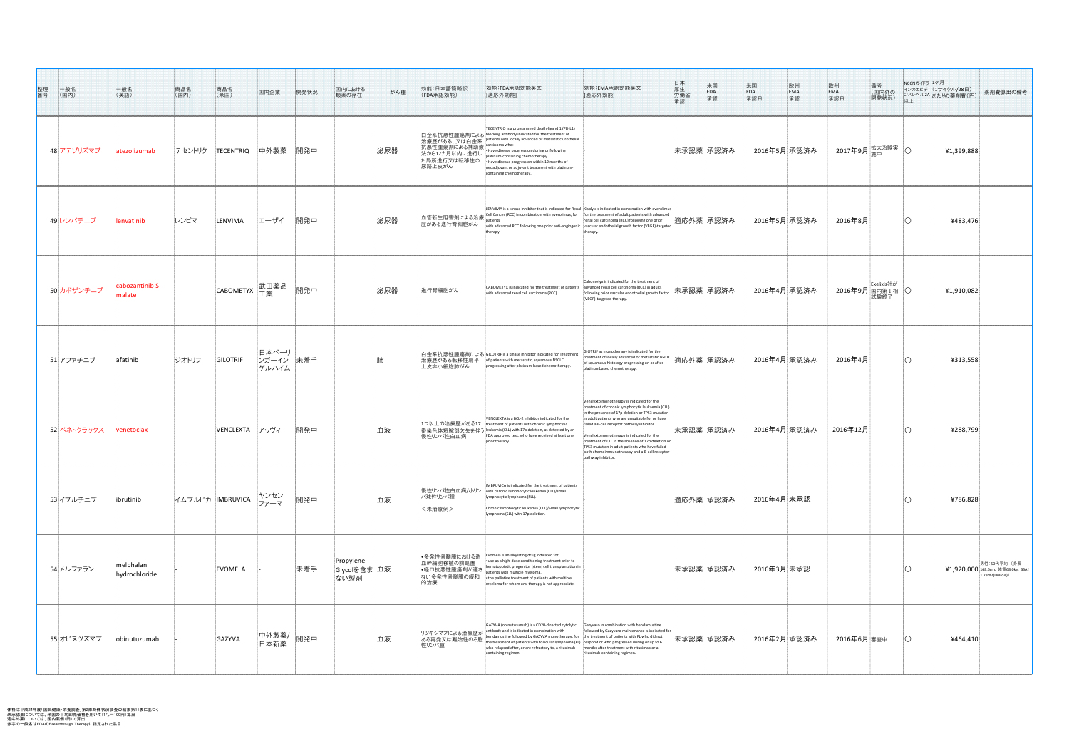| 整理<br>番号<br>一般名<br>(国内) | 一般名<br>(英語)                | 商品名<br>(国内)<br>商品名<br>(米国) | 国内企業                          | 開発状況 | 国内における<br>がん種<br>類薬の存在             | 効能:日本語簡略訳<br>(FDA承認効能)                              | 効能:FDA承認効能英文<br>[適応外効能]                                                                                                                                                                                                                                                                                                                                                                                                                                                   | 効能:EMA承認効能英文<br>[適応外効能]                                                                                                                                                                                                                                                                                                                                                                                                       | 日厚労承認本生働認 | 米国<br>FDA<br>承認 | 米国<br>FDA<br>承認日 | 欧州<br>EMA<br>承認 | 欧州<br>  EMA<br> 承認日 | 備考<br>。<br>【国内外の<br>関発状況】<br>以上                                               | NCCNガイドラ コケ月<br>インのエビデ (1サイクル/28日)<br> ンスレベル2A あたりの薬剤費(円) | 薬剤費算出の備考                                                            |
|-------------------------|----------------------------|----------------------------|-------------------------------|------|------------------------------------|-----------------------------------------------------|---------------------------------------------------------------------------------------------------------------------------------------------------------------------------------------------------------------------------------------------------------------------------------------------------------------------------------------------------------------------------------------------------------------------------------------------------------------------------|-------------------------------------------------------------------------------------------------------------------------------------------------------------------------------------------------------------------------------------------------------------------------------------------------------------------------------------------------------------------------------------------------------------------------------|-----------|-----------------|------------------|-----------------|---------------------|-------------------------------------------------------------------------------|-----------------------------------------------------------|---------------------------------------------------------------------|
| 48 アテゾリズマブ              | atezolizumab               | テセントリク<br><b>TECENTRIQ</b> | 中外製薬                          | 開発中  | 泌尿器                                | た局所進行又は転移性の<br>尿路上皮がん                               | TECENTRIQ is a programmed death-ligand 1 (PD-L1)<br> 白金系抗悪性腫瘍剤による blocking antibody indicated for the treatment of<br>治療歴がある、又は白金系 Patients with locally advanced or metastatic urothelial<br>出深歴? 35 3、 人に出並示<br>抗悪性腫瘍剤による補助療 •Have disease progression during or following<br>法から12カ月以内に進行し platinum-containing chemotherapy.<br>$\bullet$ Have disease progression within 12 months of<br>neoadjuvant or adjuvant treatment with platinum-<br>containing chemotherapy. |                                                                                                                                                                                                                                                                                                                                                                                                                               |           | 未承認薬  承認済み      | 2016年5月  承認済み    |                 |                     | 2017年9月 $\frac{1}{3}$ 協力道像実 $\frac{1}{3}$                                     | 41,399,888                                                |                                                                     |
| 49レンバチニブ                | envatinib                  | レンビマ<br>LENVIMA            | エーザイ                          | 開発中  | 泌尿器                                | 血管新生阻害剤による治療<br> 歴がある進行腎細胞がん                        | LENVIMA is a kinase inhibitor that is indicated for Renal   Kisplyx is indicated in combination with everolimus<br>Cell Cancer (RCC) in combination with everolimus, for<br>with advanced RCC following one prior anti-angiogenic vascular endothelial growth factor (VEGF)-targeted $\vert$<br>therapy                                                                                                                                                                   | for the treatment of adult patients with advanced<br>renal cell carcinoma (RCC) following one prior<br>therapy.                                                                                                                                                                                                                                                                                                               |           | 適応外薬  承認済み      | 2016年5月 承認済み     |                 | 2016年8月             |                                                                               | 4483,476                                                  |                                                                     |
| 50カボザンチニブ               | cabozantinib S-<br>malate  | <b>CABOMETYX</b>           | 武田薬品                          | 開発中  | 泌尿器                                | 進行腎細胞がん                                             | CABOMETYX is indicated for the treatment of patients<br>with advanced renal cell carcinoma (RCC).                                                                                                                                                                                                                                                                                                                                                                         | Cabometyx is indicated for the treatment of<br>y parameter remarcen carcinoma (KCC) in adults factor 未承認薬 承認済み<br>(VEGF)-targeted therapy.                                                                                                                                                                                                                                                                                    |           |                 | 2016年4月 承認済み     |                 |                     | │  2016年9月 <mark>Exelixis社が</mark> │<br>2016年9月 <mark>国内第Ⅰ相 </mark> 〇<br>試験終了 | 41,910,082                                                |                                                                     |
| 51 アファチニブ               | afatinib                   | ジオトリフ<br>GILOTRIF          | 日本ベーリ  <br>ンガーイン 未着手<br>ゲルハイム |      |                                    | 上皮非小細胞肺がん                                           | │白金系抗悪性腫瘍剤による GILOTRIF is a kinase inhibitor indicated for Treatment<br>治療歴がある転移性扁平 of patients with metastatic, squamous NSCLC<br>progressing after platinum-based chemotherapy.                                                                                                                                                                                                                                                                                         | GIOTRIF as monotherapy is indicated for the<br>treatment of locally advanced or metastatic NSCLC<br>of squamous histology progressing on or after<br>platinumbased chemotherapy.                                                                                                                                                                                                                                              |           | │適応外薬 │承認済み     | 2016年4月 承認済み     |                 | 2016年4月             |                                                                               | 4313,558                                                  |                                                                     |
| 52 ベネトクラックス             | venetoclax                 | VENCLEXTA                  | <u>  </u> アッヴィ                | 開発中  | 血液                                 | 慢性リンパ性白血病                                           | VENCLEXTA is a BCL-2 inhibitor indicated for the $ $ in adult patients who are unsuitable for or have<br>1つ以上の治療歴がある17  treatment of patients with chronic lymphocytic<br> 番染色体短腕部欠失を伴う leukemia (CLL) with 17p deletion, as detected by an<br>FDA approved test, who have received at least one<br>prior therapy.                                                                                                                                                        | Venclyxto monotherapy is indicated for the<br>treatment of chronic lymphocytic leukaemia (CLL)<br>in the presence of 17p deletion or TP53 mutation<br>failed a B-cell receptor pathway inhibitor<br>enclyxto monotherapy is indicated for the<br>treatment of CLL in the absence of 17p deletion or<br>TP53 mutation in adult patients who have failed<br>both chemoimmunotherapy and a B-cell receptor<br>pathway inhibitor. |           | 未承認薬  承認済み      | 2016年4月 承認済み     |                 | 2016年12月            |                                                                               | ¥288,799                                                  |                                                                     |
| 53 イブルチニブ               | ibrutinib                  | イムブルビカ  IMBRUVICA          | ヤンセン<br>ファーマ                  | 開発中  | 血液                                 | パ球性リンパ腫<br><未治療例>                                   | IMBRUVICA is indicated for the treatment of patients<br>│慢性リンパ性白血病/小リン │with chronic lymphocytic leukemia (CLL)/small<br>lymphocytic lymphoma (SLL).<br>Chronic lymphocytic leukemia (CLL)/Small lymphocytic<br>lymphoma (SLL) with 17p deletion.                                                                                                                                                                                                                         |                                                                                                                                                                                                                                                                                                                                                                                                                               |           | 適応外薬  承認済み      | 2016年4月 未承認      |                 |                     |                                                                               | 4786,828                                                  |                                                                     |
| 54 メルファラン               | melphalan<br>hydrochloride | EVOMELA                    |                               | 未着手  | Propylene<br> Glycolを含ま 血液<br>ない製剤 | 血幹細胞移植の前処置 <br>│•経口抗悪性腫瘍剤が適さ│<br>ねい多発性骨髄腫の緩和<br>的治療 | │●多発性骨髄腫における造 │Evomela is an alkylating drug indicated for:<br>$\bullet$ use as a high-dose conditioning treatment prior to<br>hematopoietic progenitor (stem) cell transplantation in<br>patients with multiple myeloma.<br>$\bullet$ the palliative treatment of patients with multiple<br>myeloma for whom oral therapy is not appropriate.                                                                                                                            |                                                                                                                                                                                                                                                                                                                                                                                                                               |           | 未承認薬  承認済み      | 2016年3月未承認       |                 |                     |                                                                               |                                                           | 男性:50代平均(身長<br>【1,920,000 168.6cm, 体重68.0kg, BSA:<br>1.78m2(DuBois) |
| 55 オビヌツズマブ              | obinutuzumab               | GAZYVA                     | 中外製薬/ 開発中<br>日本新薬             |      | 血液                                 | リツキシマブによる治療歴;<br>ある再発又は難治性のろ<br>性リンパ腫               | GAZYVA (obinutuzumab) is a CD20-directed cytolytic  Gazyvaro in combination with bendamustine<br>antibody and is indicated in combination with<br>bendamustine followed by GAZYVA monotherapy, for   the treatment of patients with FL who did not<br>the treatment of patients with follicular lymphoma (FL) respond or who progressed during or up to 6<br>who relapsed after, or are refractory to, a rituximab-<br>containing regimen.                                | followed by Gazyvaro maintenance is indicated for<br>months after treatment with rituximab or a<br>rituximab-containing regimen.                                                                                                                                                                                                                                                                                              |           | 未承認薬 承認済み       | 2016年2月 承認済み     |                 | $2016$ 年6月審査中       |                                                                               | 4464,410                                                  |                                                                     |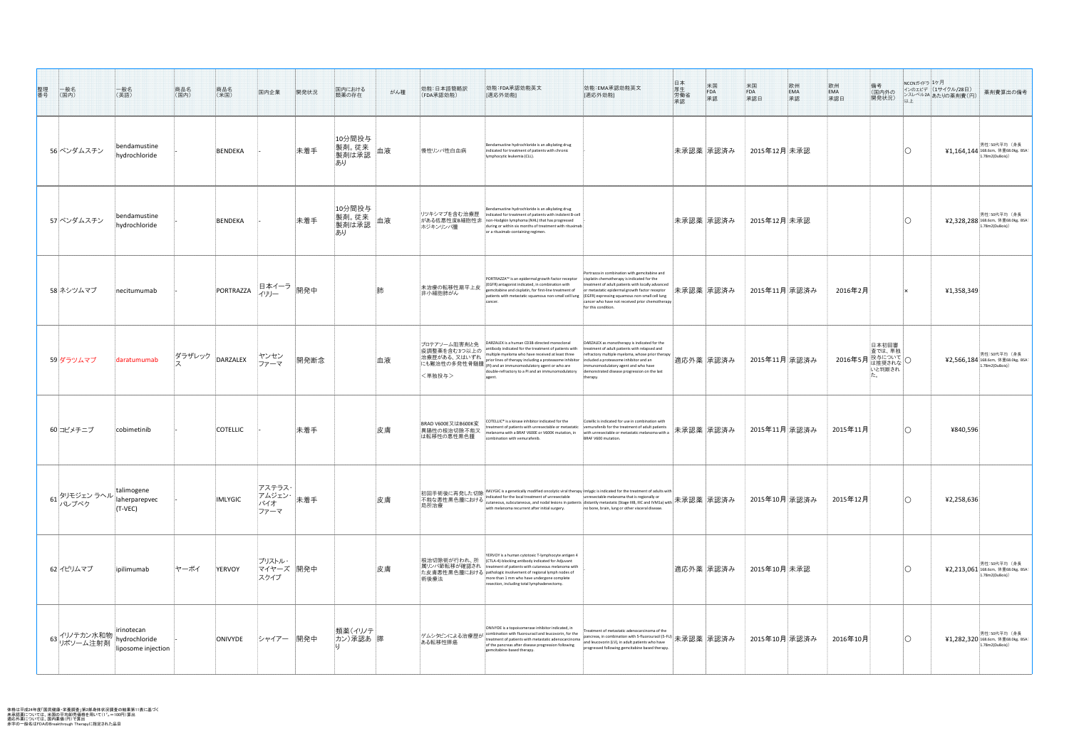体格は平成24年度「国民健康・栄養調査」第2部身体状況調査の結果第11表に基づく 未承認薬については、米国の平均卸売価格を用いて(1˚"=100円)算出 適応外薬については、国内薬価(円)で算出 赤字の一般名はFDAのBreakthrough Therapyに指定された品目

| 整理番号<br>一般名<br>(国内)                              | 一般名<br>(英語)                                       | 商品名<br>(国内)<br>商品名<br>(米国) | 国内企業                                     | 開発状況 | 国内における<br>類薬の存在                      | がん種 | 効能:日本語簡略訳<br>(FDA承認効能)                           | 効能:FDA承認効能英文<br>[適応外効能]                                                                                                                                                                                                                                                                                                                        | 日厚労<br><br><br><br><br><br><br><br><br><br><br><br><br><br><br><br><br><br><br><br><br><br><br><br><br>米国<br>FDA<br>承認<br>効能:EMA承認効能英文<br>[適応外効能]                                                                                                                                                                                                      | 米国<br>FDA<br>承認日<br> 欧州 <br> 備考<br>(国内外の<br> 開発状況)<br>EMA<br>承認  | NCCNガイドラ ユケ月 | $\sqrt{\left(1+\frac{1}{2}\right)^{2}}$ (1+イクル/28日)<br>薬剤費算出の備考<br> ンスレベル2A あたりの薬剤費(円) |
|--------------------------------------------------|---------------------------------------------------|----------------------------|------------------------------------------|------|--------------------------------------|-----|--------------------------------------------------|------------------------------------------------------------------------------------------------------------------------------------------------------------------------------------------------------------------------------------------------------------------------------------------------------------------------------------------------|--------------------------------------------------------------------------------------------------------------------------------------------------------------------------------------------------------------------------------------------------------------------------------------------------------------------------------------------------------|------------------------------------------------------------------|--------------|----------------------------------------------------------------------------------------|
| 56 ベンダムスチン                                       | bendamustine<br>hydrochloride                     | <b>BENDEKA</b>             |                                          | 未着手  | 10分間投与<br>製剤。従来<br> 製剤は承認<br>あり      | 血液  | 慢性リンパ性白血病                                        | Bendamustine hydrochloride is an alkylating drug<br>indicated for treatment of patients with chronic<br>lymphocytic leukemia (CLL).                                                                                                                                                                                                            | 未承認薬 承認済み                                                                                                                                                                                                                                                                                                                                              | 2015年12月未承認                                                      |              | 男性:50代平均 (身長<br>¥1,164,144 168.6cm, 体重68.0kg, BSA: $\vert$<br>1.78m2(DuBois))          |
| 57 ベンダムスチン                                       | bendamustine<br>hydrochloride                     | BENDEKA                    |                                          | 未着手  | 10分間投与<br>■製剤。従来<br>製剤は承認<br>■<br>あり |     | リツキシマブを含む治療歴<br>がある低悪性度B細胞性非<br> ホジキンリンパ腫        | Bendamustine hydrochloride is an alkylating drug<br>indicated for treatment of patients with indolent B-cell<br>non-Hodgkin lymphoma (NHL) that has progressed<br>during or within six months of treatment with rituximab<br>or a rituximab-containing regimen.                                                                                | 未承認薬 承認済み                                                                                                                                                                                                                                                                                                                                              | 2015年12月未承認                                                      |              | 男性:50代平均(身長<br>¥2,328,288 168.6cm, 体重68.0kg, BSA:<br>1.78m2(DuBois))                   |
| 58 ネシツムマブ                                        | necitumumab                                       | PORTRAZZA                  | <b>--、</b> 旧本イーラ <sub> 開発中</sub><br>イリリー |      |                                      |     | 未治療の転移性扁平上皮<br>非小細胞肺がん                           | PORTRAZZA <sup>™</sup> is an epidermal growth factor receptor<br>(EGFR) antagonist indicated, in combination with<br>gemcitabine and cisplatin, for first-line treatment of<br>patients with metastatic squamous non-small cell lung<br>cancer.                                                                                                | Portrazza in combination with gemcitabine and<br>isplatin chemotherapy is indicated for the<br>treatment of adult patients with locally advanced<br> 未承認薬  承認済み <br>or metastatic epidermal growth factor receptor<br>$\vert$ (EGFR) expressing squamous non-small cell lung<br>cancer who have not received prior chemotherapy<br>for this condition. | 2016年2月<br> 2015年11月 承認済み                                        |              | 41,358,349                                                                             |
| 59 ダラツムマブ                                        | daratumumab                                       | ダラザレック $\vert$ DARZALEX    | ヤンセン<br>ファーマ                             | 開発断念 |                                      | 血液  | プロテアソーム阻害剤と免<br> 疫調整薬を含む3つ以上の<br><単独投与>          | DARZALEX is a human CD38-directed monoclonal<br>antibody indicated for the treatment of patients with<br>multiple myeloma who have received at least three<br>double-refractory to a PI and an immunomodulatory<br>lagen                                                                                                                       | DARZALEX as monotherapy is indicated for the<br>treatment of adult patients with relapsed and<br>refractory multiple myeloma, whose prior therapy<br> 適応外薬  承認済み <br>included a proteasome inhibitor and an<br>mmunomodulatory agent and who have<br>demonstrated disease progression on the last<br>:herapy.                                          | 日本初回審<br>査では、単独<br>2016年5月 投与について O<br> 2015年11月 承認済み <br>いと判断され |              | 男性:50代平均(身長<br>¥2,566,184 168.6cm, 体重68.0kg, BSA:<br>1.78m2(DuBois))                   |
| 60コビメチニブ                                         | cobimetinib                                       | <b>COTELLIC</b>            |                                          | 未着手  |                                      | 皮膚  | BRAD V600E又はB600K変<br> 異陽性の根治切除不能又<br>は転移性の悪性黒色腫 | $\overline{C}$ COTELLIC <sup>®</sup> is a kinase inhibitor indicated for the<br>treatment of patients with unresectable or metastatic<br>nelanoma with a BRAF V600E or V600K mutatio<br>combination with vemurafenib.                                                                                                                          | Cotellic is indicated for use in combination with<br>vemurafenib for the treatment of adult patients<br>未承認薬 承認済み<br>with unresectable or metastatic melanoma with a<br>BRAF V600 mutation.                                                                                                                                                            | 2015年11月 承認済み <br>2015年11月                                       |              | 4840,596                                                                               |
| 61 タリモジェン ラヘル rannogene<br> パレプベク   aherparepvec | talimogene<br>$\sqrt{\mathsf{T}-\mathsf{VEC}}$    | <b>IMLYGIC</b>             | アステラス・<br>アムジェン・<br>バイオ<br>ファーマ          | 未着手  |                                      | 皮膚  | 初回手術後に再発した切除 <br>不能な悪性黒色腫における<br>局所治療            | MLYGIC is a genetically modified oncolytic viral therapy Imlygic is indicated for the treatment of adults with<br>$\frac{1}{2}$ indicated for the local treatment of unresectable<br>with melanoma recurrent after initial surgery.                                                                                                            | unresectable melanoma that is regionally or<br>$\mathcal{C}$ cutaneous, subcutaneous, and nodal lesions in patients distantly metastatic (Stage IIIB, IIIC and IVM1a) with $ \pi \mathbb{R}$ 認薬 $ \overline{\mathcal{F}}$ 認済み<br>no bone, brain, lung or other visceral disease.                                                                       | 2015年10月 承認済み<br>2015年12月                                        |              | 42,258,636                                                                             |
| 62 イピリムマブ                                        | ipilimumab                                        | ヤーボイ<br><b>YERVOY</b>      | ブリストル・<br>マイヤーズ 開発中<br>スクイブ              |      |                                      | 皮膚  | 根治切除術が行われ、所<br>術後療法                              | YERVOY is a human cytotoxic T-lymphocyte antigen 4<br>(CTLA-4)-blocking antibody indicated for Adjuvant<br> 属リンパ節転移が確認され  treatment of patients with cutaneous melanoma with  <br> た皮膚悪性黒色腫における pathologic involvement of regional lymph nodes of<br>more than 1 mm who have undergone complete<br>resection, including total lymphadenectomy. | 適応外薬  承認済み                                                                                                                                                                                                                                                                                                                                             | 2015年10月 未承認                                                     |              | 男性:50代平均(身長<br>¥2,213,061 168.6cm, 体重68.0kg, BSA:<br>1.78m2(DuBois))                   |
| 63 イリノテカン水和物  <br>リポソーム注射剤                       | irinotecan<br>hydrochloride<br>liposome injection | ONIVYDE                    | シャイアー  開発中                               |      | 類薬(イリノテ<br>カン)承認あ  膵                 |     | ゲムシタビンによる治療歴が<br>ある転移性膵癌                         | ONIVYDE is a topoisomerase inhibitor indicated, in<br>$\sqrt{2}$ combination with fluorouracil and leucovorin, for the<br>treatment of patients with metastatic adenocarcinoma<br>of the pancreas after disease progression following<br>gemcitabine-based therapy.                                                                            | reatment of metastatic adenocarcinoma of the<br> pancreas, in combination with 5-fluorouracil (5-FU) 未承認薬  承認済み<br>and leucovorin (LV), in adult patients who have<br>progressed following gemcitabine based therapy.                                                                                                                                  | 2015年10月 承認済み<br>2016年10月                                        |              | 男性:50代平均(身長<br><b>¥1,282,320</b> 168.6cm, 体重68.0kg, P <sup>r</sup><br>1.78m2(DuBois)   |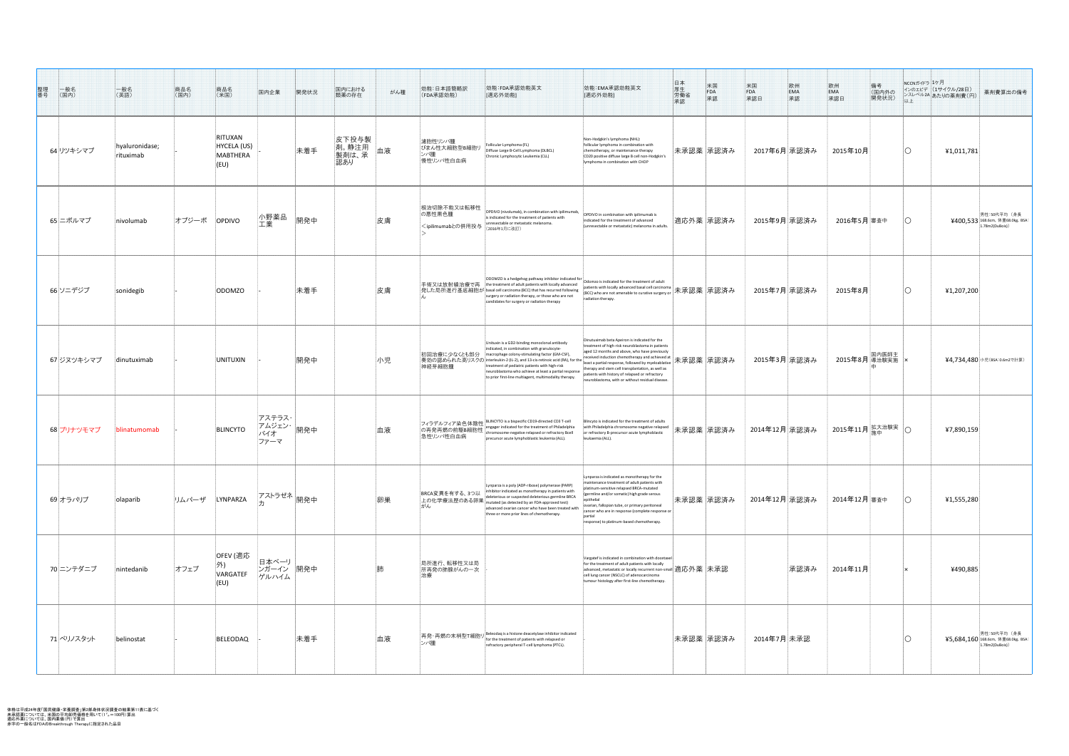| 整理<br>番号<br> 一般名<br>(国内) | 一般名<br>(英語)                 | 商品名<br> (国内) | 商品名<br>(米国)                                       | 国内企業                                   | 開発状況 | 国内における<br>類薬の存在                | がん種 | 効能:日本語簡略訳<br>(FDA承認効能)                                                                                                                                                                                                                                                                                                                                                                                                                                                                                                                                                                     | 効能:FDA承認効能英文<br>[適応外効能]                                                                                                                                                                                                                                                                                                                                                                                            | 効能:EMA承認効能英文<br>[適応外効能]                                                                                                                                                                                                                                                                                                                                                                                                                                                                                                                        | 日厚労承<br>本生働認 | 米国<br>FDA<br>承認 | 米国<br>FDA<br>承認日 | 欧州<br>$EMA$ 承認 | 欧州<br>  EMA<br> 承認日                    | 備考<br> (国内外の<br>開発状況) | NCCNガイドラ 1ケ月<br>インのエビデ (1サイクル/28日)<br> ンスレベル2A あたりの薬剤費(円)<br>以上 | 薬剤費算出の備考                                                          |
|--------------------------|-----------------------------|--------------|---------------------------------------------------|----------------------------------------|------|--------------------------------|-----|--------------------------------------------------------------------------------------------------------------------------------------------------------------------------------------------------------------------------------------------------------------------------------------------------------------------------------------------------------------------------------------------------------------------------------------------------------------------------------------------------------------------------------------------------------------------------------------------|--------------------------------------------------------------------------------------------------------------------------------------------------------------------------------------------------------------------------------------------------------------------------------------------------------------------------------------------------------------------------------------------------------------------|------------------------------------------------------------------------------------------------------------------------------------------------------------------------------------------------------------------------------------------------------------------------------------------------------------------------------------------------------------------------------------------------------------------------------------------------------------------------------------------------------------------------------------------------|--------------|-----------------|------------------|----------------|----------------------------------------|-----------------------|-----------------------------------------------------------------|-------------------------------------------------------------------|
| 64リツキシマブ                 | hyaluronidase;<br>rituximab |              | RITUXAN<br>HYCELA (US)<br><b>MABTHERA</b><br>(EU) |                                        | 未着手  | 皮下投与製<br>剤。静注用<br>製剤は、承<br>認あり | 血液  | 濾胞性リンパ腫<br>びまん性大細胞型B細胞<br> ンパ腫<br>慢性リンパ性白血病                                                                                                                                                                                                                                                                                                                                                                                                                                                                                                                                                | Follicular Lymphoma (FL)<br>Diffuse Large B-Cell Lymphoma (DLBCL)<br>Chronic Lymphocytic Leukemia (CLL)                                                                                                                                                                                                                                                                                                            | Non-Hodgkin's lymphoma (NHL):<br>follicular lymphoma in combination with<br>chemotherapy, or maintenance therapy<br>CD20 positive diffuse large B cell non-Hodgkin's<br>lymphoma in combination with CHOP                                                                                                                                                                                                                                                                                                                                      |              | 未承認薬 承認済み       | 2017年6月 承認済み     |                | 2015年10月                               |                       | ¥1,011,781                                                      |                                                                   |
| 65 ニボルマブ                 | nivolumab                   | オプジーボ        | <b>OPDIVO</b>                                     | 小野薬品<br>工業                             | 開発中  |                                | 皮膚  | 根治切除不能又は転移性<br>の悪性黒色腫<br><ipilimumabとの併用投与< td=""><td>OPDIVO (nivolumab), in combination with ipilimumab,<br/>is indicated for the treatment of patients with<br/>unresectable or metastatic melanoma.<br/>(2016年1月に改訂)</td><td>OPDIVO in combination with ipilimumab is<br/>indicated for the treatment of advanced<br/>(unresectable or metastatic) melanoma in adults.</td><td></td><td> 適応外薬  承認済み </td><td>2015年9月 承認済み</td><td></td><td>2016年5月<sup>審査中</sup></td><td></td><td></td><td>男性:50代平均(身長<br/>¥400,533 168.6cm, 体重68.0kg, BSA:<br/>1.78m2(DuBois)</td></ipilimumabとの併用投与<> | OPDIVO (nivolumab), in combination with ipilimumab,<br>is indicated for the treatment of patients with<br>unresectable or metastatic melanoma.<br>(2016年1月に改訂)                                                                                                                                                                                                                                                     | OPDIVO in combination with ipilimumab is<br>indicated for the treatment of advanced<br>(unresectable or metastatic) melanoma in adults.                                                                                                                                                                                                                                                                                                                                                                                                        |              | 適応外薬  承認済み      | 2015年9月 承認済み     |                | 2016年5月 <sup>審査中</sup>                 |                       |                                                                 | 男性:50代平均(身長<br>¥400,533 168.6cm, 体重68.0kg, BSA:<br>1.78m2(DuBois) |
| 66 ソニデジブ                 | sonidegib                   |              | ODOMZO                                            |                                        | 未着手  |                                | 皮膚  |                                                                                                                                                                                                                                                                                                                                                                                                                                                                                                                                                                                            | ODOMZO is a hedgehog pathway inhibitor indicated for<br> 手術又は放射線治療で再  the treatment of adult patients with locally advanced  <br> 発した局所進行基底細胞が basal cell carcinoma (BCC) that has recurred following<br>surgery or radiation therapy, or those who are not<br>candidates for surgery or radiation therapy                                                                                                         | Odomzo is indicated for the treatment of adult<br>patients with locally advanced basal cell carcinoma <del>大</del> 承認薬 承認済み<br>radiation therapy.                                                                                                                                                                                                                                                                                                                                                                                              |              |                 | 2015年7月 承認済み     |                | _2015年8月                               |                       | 41,207,200                                                      |                                                                   |
| 67 ジヌツキシマブ               | dinutuximab                 |              | <b>UNITUXIN</b>                                   |                                        | 開発中  |                                | 小児  | 神経芽細胞腫                                                                                                                                                                                                                                                                                                                                                                                                                                                                                                                                                                                     | Unituxin is a GD2-binding monoclonal antibody<br>indicated, in combination with granulocyte-<br>│初回治療に少なくとも部分 │macrophage colony-stimulating factor (GM-CSF),<br>│奏効の認められた高リスクの│interleukin-2 (IL-2), and 13-cis-retinoic acid (RA), for the│<br>treatment of pediatric patients with high-risk<br>neuroblastoma who achieve at least a partial response<br>to prior first-line multiagent, multimodality therapy. | Dinutuximab beta Apeiron is indicated for the<br>treatment of high-risk neuroblastoma in patients<br>aged 12 months and above, who have previously<br>$\mathbb{P}^{\text{received induction chemotherapy and achieved at}} \text{max} \bar{\mathcal{R}}\bar{\mathbb{R}}\bar{\mathbb{R}}$ $\bar{\mathbb{R}}$ $\bar{\mathbb{R}}\bar{\mathbb{R}}\bar{\mathcal{R}}$ $\bar{\mathcal{R}}$<br>therapy and stem cell transplantation, as well as<br>patients with history of relapsed or refractory<br>neuroblastoma, with or without residual disease |              |                 | 2015年3月 承認済み     |                | │国内医師主<br>│ 2015年8月 <mark>導治験実施</mark> |                       |                                                                 | ¥4,734,480 小児(BSA:0.6m2で計算)                                       |
| 68 ブリナツモマブ               | blinatumomab                |              | BLINCYTO                                          | アステラス・ <br>- アムジェン・ 開発中<br>バイオ<br>ファーマ |      |                                | 血液  | 急性リンパ性白血病                                                                                                                                                                                                                                                                                                                                                                                                                                                                                                                                                                                  | フィラデルフィア染色体陰性 BLINCYTO is a bispecific CD19-directed CD3 T-cell<br>の再発再燃の前駆B細胞性   engager indicated for the treatment of Philadelph<br>chromosome-negative relapsed or refractory Bcell<br>precursor acute lymphoblastic leukemia (ALL).                                                                                                                                                                           | Blincyto is indicated for the treatment of adults<br>ith Philadelphia chromosome negative relapsed<br>or refractory B-precursor acute lymphoblastic<br>leukaemia (ALL).                                                                                                                                                                                                                                                                                                                                                                        |              | 未承認薬 承認済み       | 2014年12月 承認済み    |                | 2015年11月 <sup>拡大治験実</sup> 〇            |                       | 47,890,159                                                      |                                                                   |
| 69オラパリブ                  | olaparib                    | リムパーザ        | LYNPARZA                                          | <sub>・</sub>  アストラゼネ  <br>開発中          |      |                                | 卵巣  | BRCA変異を有する、3つ以<br>がん                                                                                                                                                                                                                                                                                                                                                                                                                                                                                                                                                                       | Lynparza is a poly (ADP-ribose) polymerase (PARP)<br>inhibitor indicated as monotherapy in patients with<br>deleterious or suspected deleterious germline BRCA<br> 上の化学療法歴のある卵巣   www.wwww.weeper.com   <br>  エの化学療法歴のある卵巣   mutated (as detected by an FDA-approved test)<br>advanced ovarian cancer who have been treated with<br>three or more prior lines of chemotherapy.                                     | Lynparza is indicated as monotherapy for the<br>maintenance treatment of adult patients with<br>platinum-sensitive relapsed BRCA-mutated<br>(germline and/or somatic) high grade serous<br>ovarian, fallopian tube, or primary peritoneal<br>cancer who are in response (complete response or<br>response) to platinum-based chemotherapy                                                                                                                                                                                                      |              | 未承認薬  承認済み      | 2014年12月 承認済み    |                | 2014年12月 審査中                           |                       | 41,555,280                                                      |                                                                   |
| 70 ニンテダニブ                | nintedanib                  | オフェブ         | OFEV (適応<br> 外)<br>VARGATEF<br>(EU)               | 日本ベーリ<br>ンガーイン 開発中<br>ゲルハイム            |      |                                |     | 局所進行、転移性又は局 <br>所再発の肺腺がんの一次                                                                                                                                                                                                                                                                                                                                                                                                                                                                                                                                                                |                                                                                                                                                                                                                                                                                                                                                                                                                    | Vargatef is indicated in combination with docetaxel<br>for the treatment of adult patients with locally<br>$\vert$ advanced, metastatic or locally recurrent non-small $\vert$ 適応外薬 $\vert \mp$ 承認<br>cell lung cancer (NSCLC) of adenocarcinoma<br>tumour histology after first-line chemotherapy.                                                                                                                                                                                                                                            |              |                 |                  | 承認済み           | 2014年11月                               |                       | ¥490,885                                                        |                                                                   |
| 71 ベリノスタット               | belinostat                  |              | BELEODAQ                                          |                                        | 未着手  |                                | 血液  | ンパ腫                                                                                                                                                                                                                                                                                                                                                                                                                                                                                                                                                                                        | 再発・再燃の末梢型T細胞リ $\left  \frac{\text{Beleodaq}}{\text{facth-1}} \right $ and $\text{histone}$ deacetylase inhibitor indicated<br>for the treatment of patients with relapsed or<br>refractory peripheral T-cell lymphoma (PTCL).                                                                                                                                                                                      |                                                                                                                                                                                                                                                                                                                                                                                                                                                                                                                                                |              | 未承認薬  承認済み      | 2014年7月 未承認      |                |                                        |                       |                                                                 | 男性:50代平均(身長<br><b>¥5,684,160</b> 168.6cm, 体重68.0kg, PC            |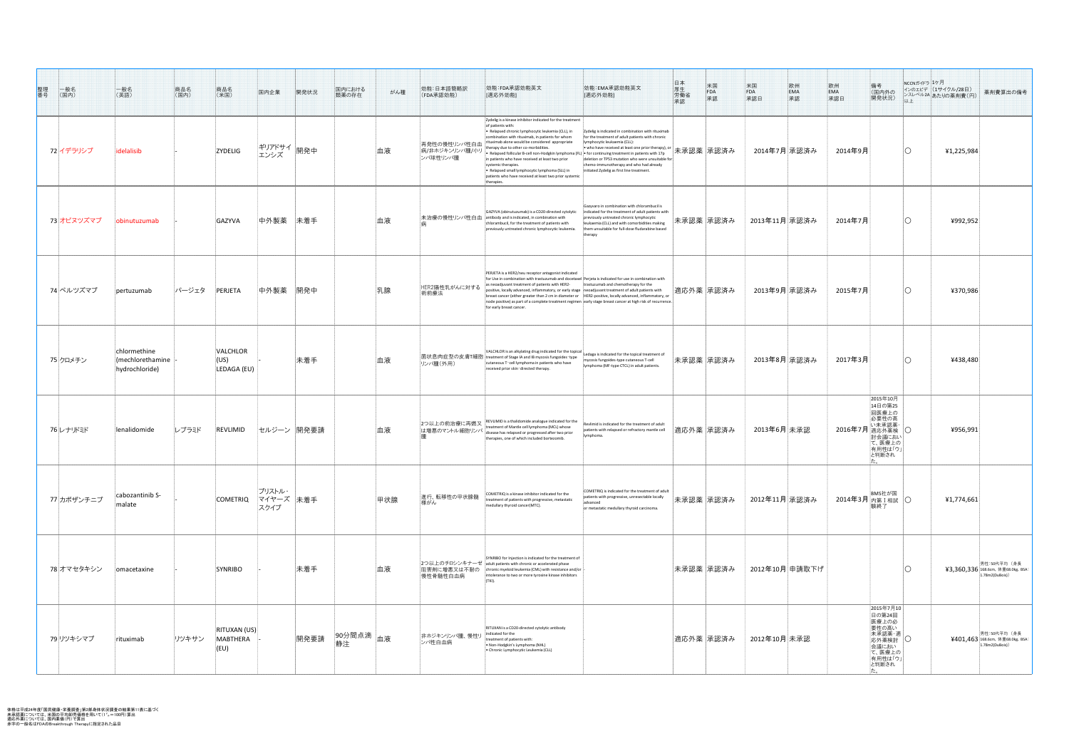| 整理番号<br> 一般名<br>(国内) | 一般名<br>(英語)                                                        | 商品名<br>(国内)   | 商品名<br>(米国)                             | 国内企業                           | 開発状況       | 国内における<br>類薬の存在                 | がん種 | 効能:日本語簡略訳<br>(FDA承認効能)                    | 効能:FDA承認効能英文<br>[適応外効能]                                                                                                                                                                                                                                                                                                                                                                                                                                                                                                                                                                                             | 効能:EMA承認効能英文<br>[適応外効能]                                                                                                                                                                                                                                                                                                                                | 日厚労承認<br>$*_{\mathsf{FDA}}$<br>承認 | 米国<br>欧州<br>EMA<br>承認<br>FDA<br>承認日 | 備考<br>。<br>(国内外の<br>開発状況)                                                                             | │ NCCNガイドラ 1ヶ月 。 | インのエビデ  (1サイクル/28日)<br>薬剤費算出の備考<br> ンスレベル2A あたりの薬剤費(円)                |
|----------------------|--------------------------------------------------------------------|---------------|-----------------------------------------|--------------------------------|------------|---------------------------------|-----|-------------------------------------------|---------------------------------------------------------------------------------------------------------------------------------------------------------------------------------------------------------------------------------------------------------------------------------------------------------------------------------------------------------------------------------------------------------------------------------------------------------------------------------------------------------------------------------------------------------------------------------------------------------------------|--------------------------------------------------------------------------------------------------------------------------------------------------------------------------------------------------------------------------------------------------------------------------------------------------------------------------------------------------------|-----------------------------------|-------------------------------------|-------------------------------------------------------------------------------------------------------|------------------|-----------------------------------------------------------------------|
| 72 イデラリシブ            | idelalisib                                                         |               | <b>ZYDELIG</b>                          | ギリアドサイ 開発中<br>エンシズ             |            |                                 | 血液  | 再発性の慢性リンパ性白血<br>病/非ホジキンリンパ腫/小<br>ンパ球性リンパ腫 | Zydelig is a kinase inhibitor indicated for the treatment<br>of patients with:<br>• Relapsed chronic lymphocytic leukemia (CLL), in<br>combination with rituximab, in patients for whom<br>rituximab alone would be considered appropriate<br>therapy due to other co-morbidities.<br>• Relapsed follicular B-cell non-Hodgkin lymphoma (FL) $\vert\bullet\vert$ for continuing treatment in patients with 17p<br>in patients who have received at least two prior<br>systemic therapies.<br>• Relapsed small lymphocytic lymphoma (SLL) in<br>patients who have received at least two prior systemic<br>therapies. | Zydelig is indicated in combination with rituximab<br>for the treatment of adult patients with chronic<br>lymphocytic leukaemia (CLL):<br>│• who have received at least one prior therapy), or 大承認薬 承認済み<br>deletion or TP53 mutation who were unsuitable for<br>chemo-immunotherapy and who had already<br>initiated Zydelig as first line treatment. |                                   | 2014年7月 承認済み                        | 2014年9月                                                                                               |                  | 41,225,984                                                            |
| 73 オビヌツズマブ           | obinutuzumab                                                       |               | GAZYVA                                  | 中外製薬                           | 未着手        |                                 | 血液  |                                           | GAZYVA (obinutuzumab) is a CD20-directed cytolytic<br> 未治療の慢性リンパ性白血  antibody and is indicated, in combination with<br>chlorambucil, for the treatment of patients with<br>previously untreated chronic lymphocytic leukem                                                                                                                                                                                                                                                                                                                                                                                          | Gazyvaro in combination with chlorambucil is<br>indicated for the treatment of adult patients with<br>previously untreated chronic lymphocytic<br>leukaemia (CLL) and with comorbidities making<br>them unsuitable for full-dose fludarabine based<br>therapy                                                                                          | 未承認薬  承認済み                        | 2013年11月 承認済み                       | 2014年7月                                                                                               |                  | ¥992,952                                                              |
| 74 ペルツズマブ            | pertuzumab                                                         | <b> パージェタ</b> | PERJETA                                 | 中外製薬 開発中                       |            |                                 | 乳腺  | HER2陽性乳がんに対する<br>術前療法                     | PERJETA is a HER2/neu receptor antagonist indicated<br>for Use in combination with trastuzumab and docetaxel Perjeta is indicated for use in combination with<br>as neoadjuvant treatment of patients with HER2-<br>positive, locally advanced, inflammatory, or early stage $ $ neoadjuvant treatment of adult patients with<br>$\vert$ breast cancer (either greater than 2 cm in diameter or $\vert$ HER2-positive, locally advanced, inflammatory, or<br>node positive) as part of a complete treatment regimen early stage breast cancer at high risk of recurrence.<br>for early breast cancer.               | trastuzumab and chemotherapy for the                                                                                                                                                                                                                                                                                                                   | 適応外薬  承認済み                        | 2013年9月 承認済み                        | 2015年7月                                                                                               |                  | ¥370,986                                                              |
| 75 クロメチン             | chlormethine<br>$\vert$ (mechlorethamine $\vert$<br>hydrochloride) |               | VALCHLOR<br>$(\cup S)$<br>LEDAGA (EU)   |                                | 未着手        |                                 | 血液  | リンパ腫(外用)                                  | $\vert$ VALCHLOR is an alkylating drug indicated for the topical $\vert$<br>│菌状息肉症型の皮膚T細胞│treatment of Stage IA and IB mycosis fungoides-type<br>cutaneous T-cell lymphoma in patients who have<br>received prior skin-directed therapy.                                                                                                                                                                                                                                                                                                                                                                            | Ledaga is indicated for the topical treatment of<br>mycosis fungoides-type cutaneous T-cell<br>lymphoma (MF-type CTCL) in adult patients.                                                                                                                                                                                                              | 未承認薬  承認済み                        | 2013年8月 承認済み                        | 2017年3月                                                                                               |                  | ¥438,480                                                              |
| 76レナリドミド             | lenalidomide                                                       | レブラミド         | REVLIMID                                |                                | セルジーン 開発要請 |                                 | 血液  |                                           | 2つ以上の前治療に再燃又 REVLIMID is a thalidomide analogue indicated for the<br>treatment of Mantle cell lymphoma (MCL) whose<br> は増悪のマントル細胞リンパ   disease has relapsed or progressed after two prior<br>therapies, one of which included bortezomib                                                                                                                                                                                                                                                                                                                                                                            | Revlimid is indicated for the treatment of adult<br>patients with relapsed or refractory mantle cell<br>lymphoma.                                                                                                                                                                                                                                      | 適応外薬  承認済み                        | 2013年6月 未承認                         | 2015年10月<br>14日の第25<br>回医療上の<br>討会議におい<br>- 1.5% - 000<br>て、医療上の<br>右用性は「ウ」<br>と判断され                  |                  | 4956,991                                                              |
| 77カボザンチニブ            | cabozantinib S-<br>malate                                          |               | <b>COMETRIQ</b>                         | ブリストル・<br> マイヤーズ  未着手 <br>スクイブ |            |                                 | 甲状腺 | 進行、転移性の甲状腺髄 <br>様がん                       | COMETRIQ is a kinase inhibitor indicated for the<br>treatment of patients with progressive, metastatic<br>medullary thyroid cancer(MTC).                                                                                                                                                                                                                                                                                                                                                                                                                                                                            | COMETRIQ is indicated for the treatment of adult<br>patients with progressive, unresectable locally<br>advanced<br>or metastatic medullary thyroid carcinoma.                                                                                                                                                                                          | 未承認薬  承認済み                        | 2012年11月 承認済み                       | BMS社が国<br>2014年3月内第 $I$ 相試 $\overline{\bigcirc}$                                                      |                  | 41,774,661                                                            |
| 78 オマセタキシン           | omacetaxine                                                        |               | SYNRIBO                                 |                                | 未着手        |                                 | 血液  | 阻害剤に増悪又は不耐の<br>慢性骨髄性白血病                   | SYNRIBO for Injection is indicated for the treatment of<br>2つ以上のチロシンキナーゼ adult patients with chronic or accelerated phase<br>chronic myeloid leukemia (CML) with resistance and/or<br>intolerance to two or more tyrosine kinase inhibitors<br>(TKI)                                                                                                                                                                                                                                                                                                                                                                |                                                                                                                                                                                                                                                                                                                                                        | 未承認薬  承認済み                        | 2012年10月 申請取下げ                      |                                                                                                       |                  | 男性:50代平均(身長<br>¥3,360,336 168.6cm, 体重68.0kg, BSA:  <br>1.78m2(DuBois) |
| 79 リツキシマブ            | rituximab                                                          | リツキサン         | <b>RITUXAN (US)</b><br>MABTHERA<br>(EU) |                                | 開発要請       | _  90分間点滴   <sub>血液</sub><br>静注 |     | 排ホジキンリンパ腫、慢性リ<br>ンパ性白血病                   | RITUXAN is a CD20-directed cytolytic antibody<br>indicated for the<br>treatment of patients with:<br>• Non-Hodgkin's Lymphoma (NHL)<br>• Chronic Lymphocytic Leukemia (CLL)                                                                                                                                                                                                                                                                                                                                                                                                                                         |                                                                                                                                                                                                                                                                                                                                                        | 適応外薬  承認済み                        | 2012年10月未承認                         | 2015年7月10<br>日の第24回<br> 医療上の必<br>要性の高い<br> 未承認薬・適 <br>応外薬検討  〇<br>会議におい<br>て、医療上の<br>有用性は「ウ」<br>と判断され |                  | 男性:50代平均 (身長  <br>¥401,463 168.6cm, 体重68.0kg, BSA:<br>1.78m2(DuBois)  |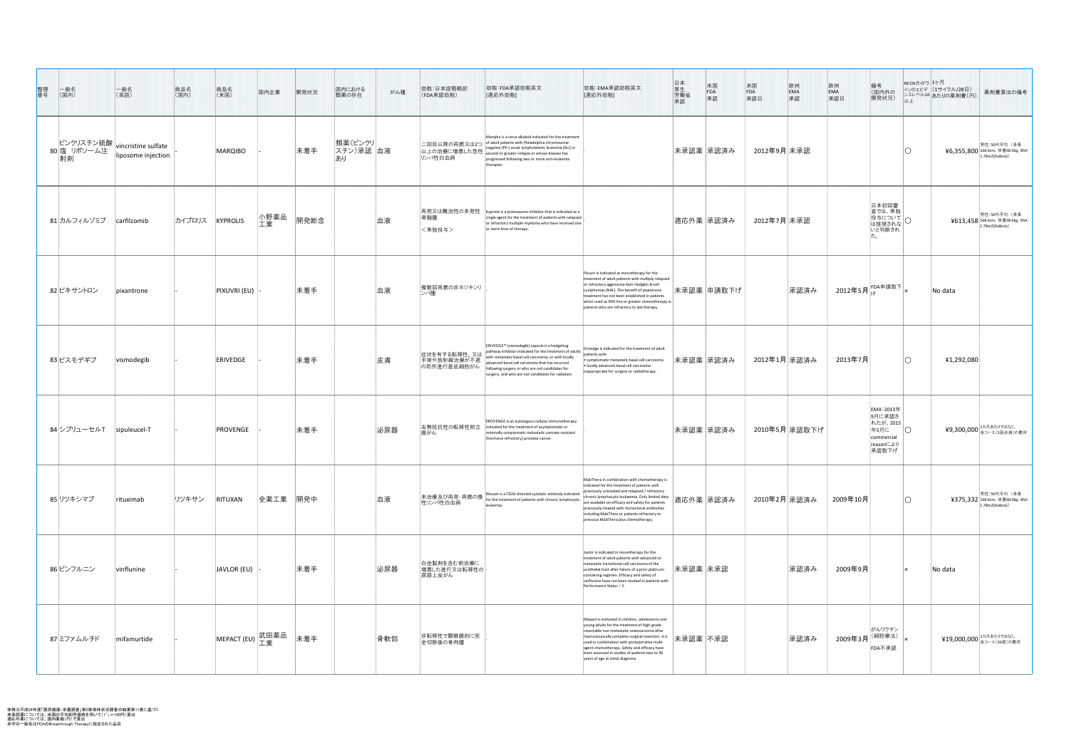| 整理番号<br>$\begin{matrix} & -\Re 2 \\ (\mathbb{E} \mathsf{P}) \end{matrix}$ | 一般名<br>(英語)        | 商品名<br>(国内) | 商品名<br>(米国)                   | 国内企業       | 開発状況     | 国内における<br>類薬の存在             | がん種 | 効能:日本語簡略訳<br>(FDA承認効能)                      | 効能:FDA承認効能英文<br>[適応外効能]                                                                                                                                                                                                                                                                                                      | 効能:EMA承認効能英文<br>[適応外効能]                                                                                                                                                                                                                                                                                                                                                                          | 日厚<br>牛<br><br><br><br><br><br><br><br><br><br><br><br><br><br><br><br><br><br><br><br><br><br><br><br><br><br><br><br><br>米国<br>FDA<br>承認 | 米国<br>FDA<br>承認日<br> 欧州<br> EMA<br> 承認 | ____<br><br><br><br><br><br><br><br><br><br><br><br><br><br><br><br><br><br><br><br><br><br><br><br><br>備考<br>(国内外の<br>開発状況)<br>以上                                                                         | NCCNガイドラ <mark>1ケ月</mark><br>インのエビデ (1サイクル/28日)<br>薬剤費算出の備考<br> ンスレベル2A あたりの薬剤費(円) |
|---------------------------------------------------------------------------|--------------------|-------------|-------------------------------|------------|----------|-----------------------------|-----|---------------------------------------------|------------------------------------------------------------------------------------------------------------------------------------------------------------------------------------------------------------------------------------------------------------------------------------------------------------------------------|--------------------------------------------------------------------------------------------------------------------------------------------------------------------------------------------------------------------------------------------------------------------------------------------------------------------------------------------------------------------------------------------------|--------------------------------------------------------------------------------------------------------------------------------------------|----------------------------------------|------------------------------------------------------------------------------------------------------------------------------------------------------------------------------------------------------------|------------------------------------------------------------------------------------|
| ビンクリスチン硫酸 vincristine sulfate<br>80 塩 リポソーム注 linosome injection<br>射剤     | liposome injection |             | MARQIBO                       |            | 未着手      | 類薬(ビンクリ)<br>スチン)承認 血液<br>あり |     | 二回目以降の再燃又は2つ<br>以上の治療に増悪した急性<br>リンパ性白血病     | Margibo is a vinca alkaloid indicated for the treatment<br>of adult patients with Philadelphia chromosome<br>negative (Ph-) acute lymphoblastic leukemia (ALL) in<br>second or greater relapse or whose disease has<br>progressed following two or more anti-leukemia<br>therapies.                                          |                                                                                                                                                                                                                                                                                                                                                                                                  | 未承認薬  承認済み                                                                                                                                 | 2012年9月 未承認                            |                                                                                                                                                                                                            | 男性:50代平均(身長<br>$46,355,800$ 168.6cm, 体重68.0kg, BSA:<br>1.78m2(DuBois)              |
| 81カルフィルゾミブ                                                                | carfilzomib        | カイプロリス      | KYPROLIS                      | 小野薬品<br>工業 | 開発断念     |                             | 血液  | 再発又は難治性の多発性<br>骨髄腫<br><単独投与>                | Kyprolis is a proteasome inhibitor that is indicated as a<br>single agent for the treatment of patients with relapsed<br>or refractory multiple myeloma who have received one<br>or more lines of therapy.                                                                                                                   |                                                                                                                                                                                                                                                                                                                                                                                                  | 適応外薬  承認済み                                                                                                                                 | 2012年7月 未承認                            | 日本初回審<br>査では、単独<br>投与について<br>は推奨されな<br>いと判断され                                                                                                                                                              | 男性:50代平均(身長<br>$4613,458$ 168.6cm, 体重68.0kg, BSA:<br>1.78m2(DuBois))               |
| 82 ピキサントロン                                                                | $ $ pixantrone     |             | <b>PIXUVRI (EU)</b>           |            | 未着手      |                             | 血液  | 複数回再燃の非ホジキンリ<br>ンパ腫                         |                                                                                                                                                                                                                                                                                                                              | Pixuvri is indicated as monotherapy for the<br>treatment of adult patients with multiply relapsed<br>or refractory aggressive Non-Hodgkin B-cell<br>Lymphomas (NHL). The benefit of pixantrone<br>treatment has not been established in patients<br>when used as fifth line or greater chemotherapy in<br>patients who are refractory to last therapy.                                           | 未承認薬  申請取下げ                                                                                                                                | 承認済み                                   | $\begin{array}{c} \begin{array}{c} \end{array} \end{array}$ 2012年5月 $\begin{array}{c} \begin{array}{c} \text{FDA} \end{array} \end{array}$ 詩取下 $\begin{array}{c} \begin{array}{c} \end{array} \end{array}$ | No data                                                                            |
| 83 ビスモデギブ                                                                 | vismodegib         |             | <b>ERIVEDGE</b>               |            | 未着手      |                             | 皮膚  | 症状を有する転移性、 又は<br>手術や放射線治療が不適<br>の局所進行基底細胞がん | ERIVEDGE™ (vismodegib) capsule is a hedgehog<br>pathway inhibitor indicated for the treatment of adults<br>with metastatic basal cell carcinoma, or with locally<br>advanced basal cell carcinoma that has recurred<br>following surgery or who are not candidates for<br>surgery, and who are not candidates for radiation. | Erivedge is indicated for the treatment of adult<br>patients with:<br>$\bullet$ symptomatic metastatic basal cell carcinoma<br>$\bullet$ locally advanced basal cell carcinoma<br>inappropriate for surgery or radiotherapy.                                                                                                                                                                     | 未承認薬  承認済み                                                                                                                                 | 2012年1月 承認済み                           | __2013年7月                                                                                                                                                                                                  | 41,292,080                                                                         |
| 84シプリューセルT  sipuleucel-T                                                  |                    |             | PROVENGE                      |            | 未着手      |                             | 泌尿器 | 去勢抵抗性の転移性前立<br>腺がん                          | PROVENGE is an autologous cellular immunotherapy<br>indicated for the treatment of asymptomatic or<br>minimally symptomatic metastatic castrate resistant<br>(hormone refractory) prostate cancer.                                                                                                                           |                                                                                                                                                                                                                                                                                                                                                                                                  | 未承認薬  承認済み                                                                                                                                 | 2010年5月  承認取下げ                         | <b>EMA: 2013年</b><br>9月に承認さ<br>れたが、2015<br>$\bigcirc$<br>年5月に<br>commercial<br>reasonにより<br>承認取下げ                                                                                                          | ¥9,300,000 ユカ月あたりではなく、<br>¥9,300,000 全コース(3回点滴)の費用                                 |
| 85 リツキシマブ                                                                 | rituximab          | リツキサン       | RITUXAN                       |            | 全薬工業 開発中 |                             | 血液  | 本治療及び再発・再燃の慢<br>性リンパ性白血病                    | Rituxan is a CD20-directed cytolytic antibody indicated<br>for the treatment of patients with chronic lymphocytic<br>leukemia.                                                                                                                                                                                               | MabThera in combination with chemotherapy is<br>indicated for the treatment of patients with<br>previously untreated and relapsed / refractory<br>chronic lymphocytic leukaemia. Only limited data<br>are available on efficacy and safety for patients<br>previously treated with monoclonal antibodies<br>including MabThera or patients refractory to<br>previous MabThera plus chemotherapy. | 適応外薬  承認済み                                                                                                                                 | 2010年2月 承認済み                           | 2009年10月                                                                                                                                                                                                   | 男性:50代平均(身長<br>¥375,332 168.6cm, 体重68.0kg, BSA:<br>1.78m2(DuBois)                  |
| 86 ビンフルニン                                                                 | vinflunine         |             | $ JAVLOR$ (EU) $ $ -          |            | 未着手      |                             | 泌尿器 | 白金製剤を含む前治療に<br>増悪した進行又は転移性の<br>尿路上皮がん       |                                                                                                                                                                                                                                                                                                                              | Javlor is indicated in monotherapy for the<br>treatment of adult patients with advanced or<br>metastatic transitional cell carcinoma of the<br>urothelial tract after failure of a prior platinum-<br>containing regimen. Efficacy and safety of<br>vinflunine have not been studied in patients with<br>Performance Status $\geq$ 2.                                                            | 未承認薬 未承認                                                                                                                                   | 承認済み                                   | 2009年9月                                                                                                                                                                                                    | No data                                                                            |
| 87 ミファムルチド                                                                | mifamurtide        |             | MEPACT (EU) <mark>武田薬品</mark> |            | 未着手      |                             | 骨軟部 | 非転移性で顕微鏡的に完<br>全切除後の骨肉腫                     |                                                                                                                                                                                                                                                                                                                              | Mepact is indicated in children, adolescents and<br>young adults for the treatment of high-grade<br>resectable non-metastatic osteosarcoma after<br>macroscopically complete surgical resection. It is<br>used in combination with postoperative multi-<br>agent chemotherapy. Safety and efficacy have<br>been assessed in studies of patients two to 30<br>years of age at initial diagnosis.  | 未承認薬不承認                                                                                                                                    | 承認済み                                   | がんワクチン<br>□<br>2009年3月 <sup>(細胞療法)</sup> <sub>--</sub> -<br>FDA不承認                                                                                                                                         | ¥19,000,000 ユカ月あたりではなく、                                                            |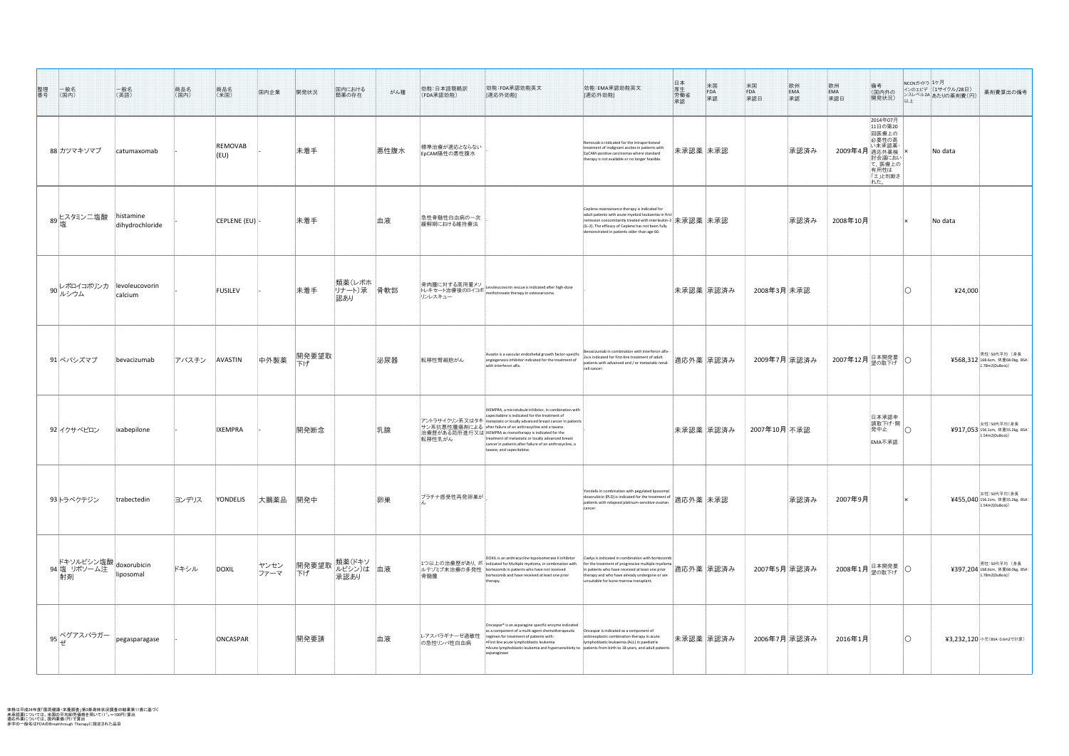| 整理番号<br>一般名<br>(国内)                                                                                                                                                                                                                                                                  | 一般名<br>(英語)     | 商品名<br>(国内)   | 商品名<br>(米国)                | 国内企業                    | 開発状況        | 国内における<br>類薬の存在               | がん種  | 効能:日本語簡略訳<br>(FDA承認効能)       | 効能:FDA承認効能英文<br>[適応外効能]                                                                                                                                                                                                                                                                                                                                                                                                                                       | 効能:EMA承認効能英文<br> [適応外効能]                                                                                                                                                                                                                                                          | 日厚労働認<br>受害の<br>米国<br>FDA<br>永認 | 米国<br>FDA<br>承認日<br>欧州<br>EMA<br>承認 | _____<br><br><br>承認日<br>承認日<br>備考<br>(国内外の<br>開発状況)<br>以上                                                            | NCCNガイドラ ユケ月<br> インのエビデ  (1サイクル/28日)<br>薬剤費算出の備考<br>  レスレベル2A あたりの薬剤費(円) |
|--------------------------------------------------------------------------------------------------------------------------------------------------------------------------------------------------------------------------------------------------------------------------------------|-----------------|---------------|----------------------------|-------------------------|-------------|-------------------------------|------|------------------------------|---------------------------------------------------------------------------------------------------------------------------------------------------------------------------------------------------------------------------------------------------------------------------------------------------------------------------------------------------------------------------------------------------------------------------------------------------------------|-----------------------------------------------------------------------------------------------------------------------------------------------------------------------------------------------------------------------------------------------------------------------------------|---------------------------------|-------------------------------------|----------------------------------------------------------------------------------------------------------------------|--------------------------------------------------------------------------|
| 88 カツマキソマブ                                                                                                                                                                                                                                                                           | catumaxomab     |               | <b>REMOVAB</b><br>$ $ (EU) |                         | 未着手         |                               | 悪性腹水 | 標準治療が適応とならない<br>EpCAM陽性の悪性腹水 |                                                                                                                                                                                                                                                                                                                                                                                                                                                               | Removab is indicated for the intraperitoneal<br>treatment of malignant ascites in patients with<br>EpCAM-positive carcinomas where standard<br>therapy is not available or no longer feasible.                                                                                    | 未承認薬 未承認                        | 承認済み                                | 2014年07月<br>11日の第20<br>回医療上の<br>必要性の高<br>い未承認薬<br>2009年4月 <b>適応外薬検</b><br>討会議におい<br>て、医療上の<br>有用性は<br>「エ」と判断さ<br>れた。 | No data                                                                  |
| ' 89 ヒスタミン二塩酸 histamine                                                                                                                                                                                                                                                              | dihydrochloride |               | $ CEPLENE$ (EU) $ $ -      |                         | 未着手         |                               | 血液   | 急性骨髄性白血病の一次<br>緩解期における維持療法   |                                                                                                                                                                                                                                                                                                                                                                                                                                                               | Ceplene maintainance therapy is indicated for<br>adult patients with acute myeloid leukaemia in first<br>remission concomitantly treated with interleukin-2 未承認薬 未承認<br>$\vert$ (IL-2). The efficacy of Ceplene has not been fully<br>demonstrated in patients older than age 60. |                                 | 承認済み                                | 2008年10月                                                                                                             | No data                                                                  |
| 90 レボロイコボリンカ  levoleucovorin<br> calcium                                                                                                                                                                                                                                             | calcium         |               | <b>FUSILEV</b>             |                         | 未着手         | 類薬(レボホ  <br>リナート)承 骨軟部<br>認あり |      | リンレスキュー                      | │骨肉腫に対する高用量メソ│<br>├レキセート治療後のロイコボ│methotrexate therapy in osteosarcoma.                                                                                                                                                                                                                                                                                                                                                                                        |                                                                                                                                                                                                                                                                                   | 未承認薬  承認済み                      | 2008年3月 未承認                         |                                                                                                                      | 424,000                                                                  |
| 91 ベバシズマブ                                                                                                                                                                                                                                                                            | bevacizumab     | フバスチン AVASTIN |                            | 中外製薬 <mark>開発要望取</mark> |             |                               | 泌尿器  | 転移性腎細胞がん                     | Avastin is a vascular endothelial growth factor-specific<br>angiogenesis inhibitor indicated for the treatment of<br>with interferon alfa.                                                                                                                                                                                                                                                                                                                    | Bevacizumab in combination with interferon alfa-<br>2a is indicated for first-line treatment of adult<br>$\mid$ <sup>24</sup> is indicated for first-line treatment of adult<br>patients with advanced and / or metastatic renal- $\mid$ 適応外薬 $\mid$ 承認済み<br>cell cancer          |                                 |                                     | │ 2007年12月│ <sup>日本開発要</sup> │〇                                                                                      | 男性:50代平均(身長<br>¥568,312 168.6cm, 体重68.0kg, BSA:<br>1.78m2(DuBois))       |
| 92 イクサベピロン                                                                                                                                                                                                                                                                           | ixabepilone     |               | <b>IXEMPRA</b>             |                         | 開発断念        |                               | 乳腺   | 転移性乳がん                       | IXEMPRA, a microtubule inhibitor, in combination with<br>capecitabine is indicated for the treatment of<br>フントラサイクリン系又はタキ metastatic or locally advanced breast cancer in patients<br> サン系抗悪性腫瘍剤による after failure of an anthracycline and a taxane.<br>治療歴がある局所進行又は IXEMPRA as monotherapy is indicated for the<br>treatment of metastatic or locally advanced breast<br>cancer in patients after failure of an anthracycline, a<br>taxane, and capecitabine. |                                                                                                                                                                                                                                                                                   | 未承認薬  承認済み                      | 2007年10月 不承認                        | 日本承認申<br>清取下げ・開<br>発中止<br><b>EMA不承認</b>                                                                              | 女性:50代平均(身長<br>¥917,053 156.1cm, 体重55.2kg, BSA:<br>1.54m2(DuBois)        |
| 93トラベクテジン                                                                                                                                                                                                                                                                            | trabectedin     | ヨンデリス         | YONDELIS                   | 大鵬薬品                    | 開発中         |                               | 卵巣   | プラチナ感受性再発卵巣が                 |                                                                                                                                                                                                                                                                                                                                                                                                                                                               | Yondelis in combination with pegylated liposomal<br>doxorubicin (PLD) is indicated for the treatment of<br>patients with relapsed platinum-sensitive ovarian<br>cancer.                                                                                                           | 適応外薬  未承認                       | 承認済み                                | 2007年9月                                                                                                              | 女性:50代平均(身長)<br>半455,040 156.1cm, 体重55.2kg, BSA:<br>1.54m2(DuBois)       |
| ドキソルビシン塩酸 doxorubicin<br>94 塩 リポソーム注 linesemal<br>射剤                                                                                                                                                                                                                                 | liposomal       | ドキシル          | DOXIL                      | ヤンセン<br>ファーマ            | 開発要望取<br>下げ | 類薬(ドキソ<br>ルビシン)は 血液<br>承認あり   |      | 骨髄腫                          | DOXIL is an anthracycline topoisomerase II inhibitor<br> 1つ以上の治療歴があり、ボ  indicated for Multiple myeloma, in combination with<br>ルテゾミブ未治療の多発性 bortezomib in patients who have not received<br>bortezomib and have received at least one prior<br>therapy.                                                                                                                                                                                                       | Caelyx is indicated in combination with bortezomib<br>In the treatment of progressive multiple myeloma $\vert$<br>in patients who have received at least one prior<br>therapy and who have already undergone or are<br>unsuitable for bone marrow transplant.                     | 適応外薬  承認済み                      | 2007年5月 承認済み                        | 2008年1月 <sup>日本開発要</sup> O                                                                                           | 男性:50代平均(身長<br>¥397,204 168.6cm, 体重68.0kg, BSA:<br>1.78m2(DuBois)        |
| $\begin{array}{c c} \mathsf{S} & \mathsf{S} \end{array} \begin{array}{c c} \mathsf{S} & \mathsf{S} \end{array} \begin{array}{c c} \mathsf{S} & \mathsf{S} \end{array} \begin{array}{c c} \mathsf{S} & \mathsf{S} \end{array} \begin{array}{c c} \mathsf{S} & \mathsf{S} \end{array}$ | pegasparagase   |               | ONCASPAR                   |                         | 開発要請        |                               | 血液   | L-アスパラギナーゼ過敏性 <br>の急性リンパ性白血病 | Oncaspar <sup>®</sup> is an asparagine specific enzyme indicated<br>as a component of a multi-agent chemotherapeutic<br>regimen for treatment of patients with:<br>First line acute lymphoblastic leukemia<br>• Acute lymphoblastic leukemia and hypersensitivity to $\vert$ patients from birth to 18 years, and adult patients<br>asparaginase                                                                                                              | Oncaspar is indicated as a component of<br>antineoplastic combination therapy in acute<br>lymphoblastic leukaemia (ALL) in paediatric                                                                                                                                             | 未承認薬 承認済み                       | 2006年7月  承認済み                       | 2016年1月                                                                                                              | ¥3,232,120 小児(BSA:0.6m2で計算)                                              |